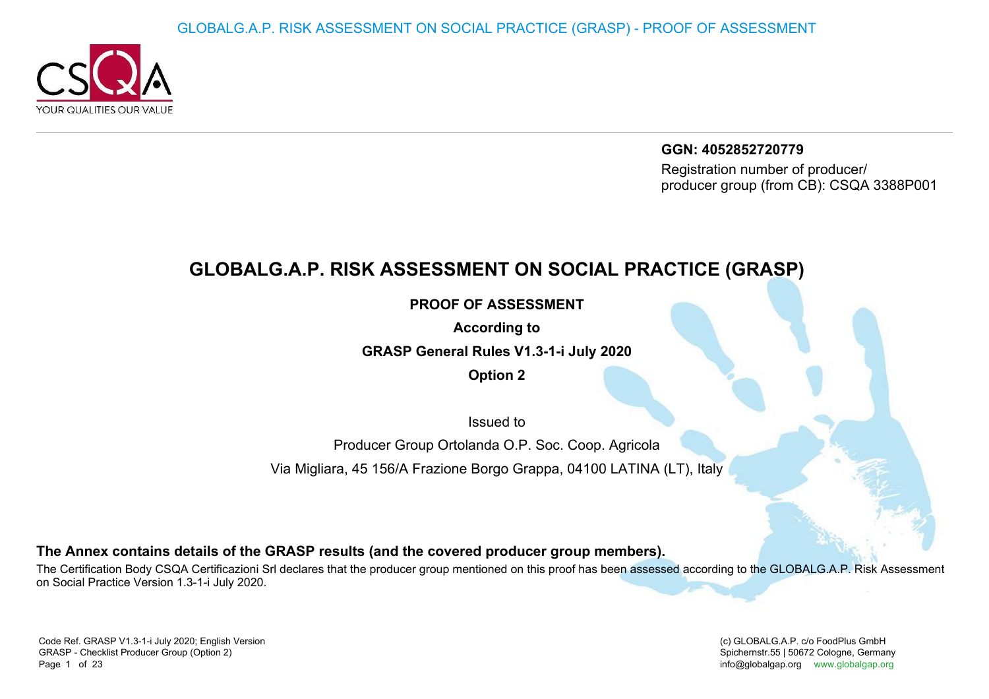

**GGN: 4052852720779** Registration number of producer/producer group (from CB): CSQA 3388P001

## **GLOBALG.A.P. RISK ASSESSMENT ON SOCIAL PRACTICE (GRASP)**

**PROOF OF ASSESSMENT**

**According to**

**GRASP General Rules V1.3-1-i July 2020**

**Option 2**

Issued to

Producer Group Ortolanda O.P. Soc. Coop. Agricola

Via Migliara, 45 156/A Frazione Borgo Grappa, 04100 LATINA (LT), Italy

**The Annex contains details of the GRASP results (and the covered producer group members).**

The Certification Body CSQA Certificazioni Srl declares that the producer group mentioned on this proof has been assessed according to the GLOBALG.A.P. Risk Assessment on Social Practice Version 1.3-1-i July 2020.

(c) GLOBALG.A.P. c/o FoodPlus GmbHSpichernstr.55 | 50672 Cologne, Germany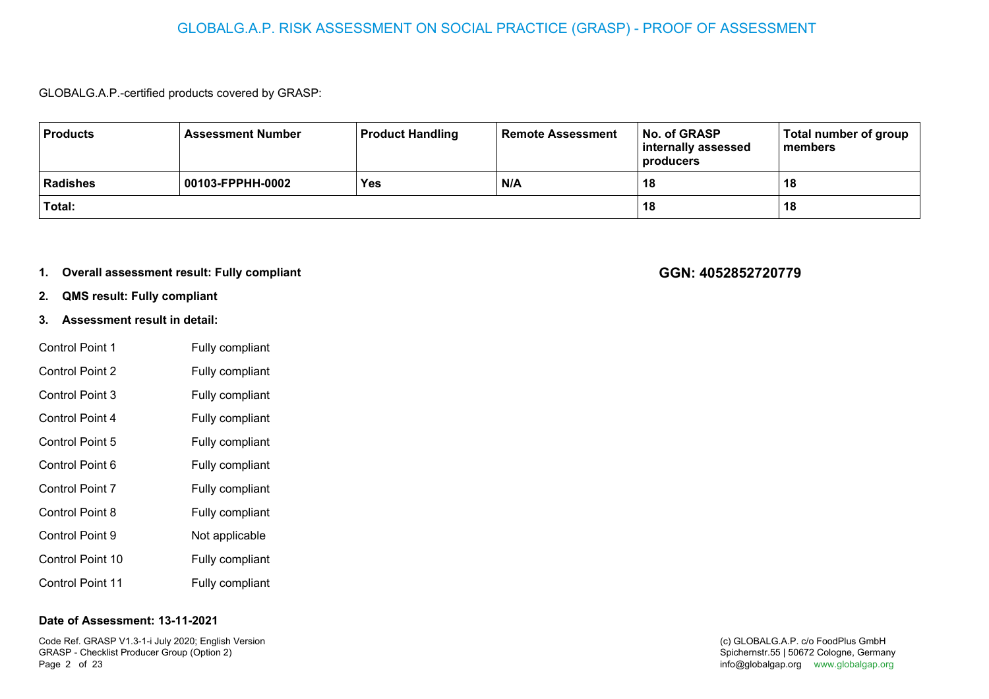#### GLOBALG.A.P. RISK ASSESSMENT ON SOCIAL PRACTICE (GRASP) - PROOF OF ASSESSMENT

GLOBALG.A.P.-certified products covered by GRASP:

| <b>Products</b> | <b>Assessment Number</b> | <b>Product Handling</b> | <b>Remote Assessment</b> | No. of GRASP<br>internally assessed<br>producers | Total number of group<br>members |
|-----------------|--------------------------|-------------------------|--------------------------|--------------------------------------------------|----------------------------------|
| <b>Radishes</b> | 00103-FPPHH-0002         | <b>Yes</b>              | N/A                      | 18                                               | 18                               |
| Total:          |                          |                         |                          | 18                                               | 18                               |

#### **1.Overall assessment result: Fully compliant**

- **2.QMS result: Fully compliant**
- **3. Assessment result in detail:**
- Control Point 1 Fully compliant Control Point 2 Fully compliant Control Point 3 Fully compliant Control Point 4 Fully compliant Control Point 5 Fully compliant Control Point 6 Fully compliant Control Point 7 Fully compliant Control Point 8 Fully compliant Control Point 9 Not applicable Control Point 10 Fully compliant Control Point 11Fully compliant

#### **Date of Assessment: 13-11-2021**

Code Ref. GRASP V1.3-1-i July 2020; English VersionGRASP - Checklist Producer Group (Option 2)Page 2 of 23 of 23 **of 23** and the unit of the state of the state of the state of the state of the state of the state of the state of the state of the state of the state of the state of the state of the state of the state of the state

#### **GGN: 4052852720779**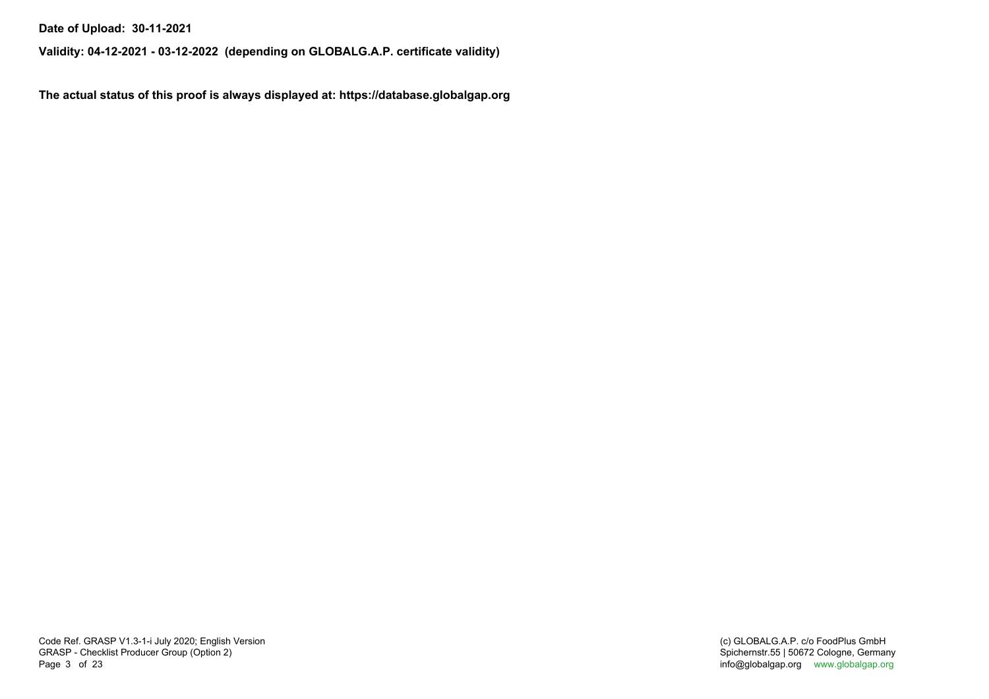**Date of Upload: 30-11-2021**

**Validity: 04-12-2021 - 03-12-2022 (depending on GLOBALG.A.P. certificate validity)**

**The actual status of this proof is always displayed at: https://database.globalgap.org**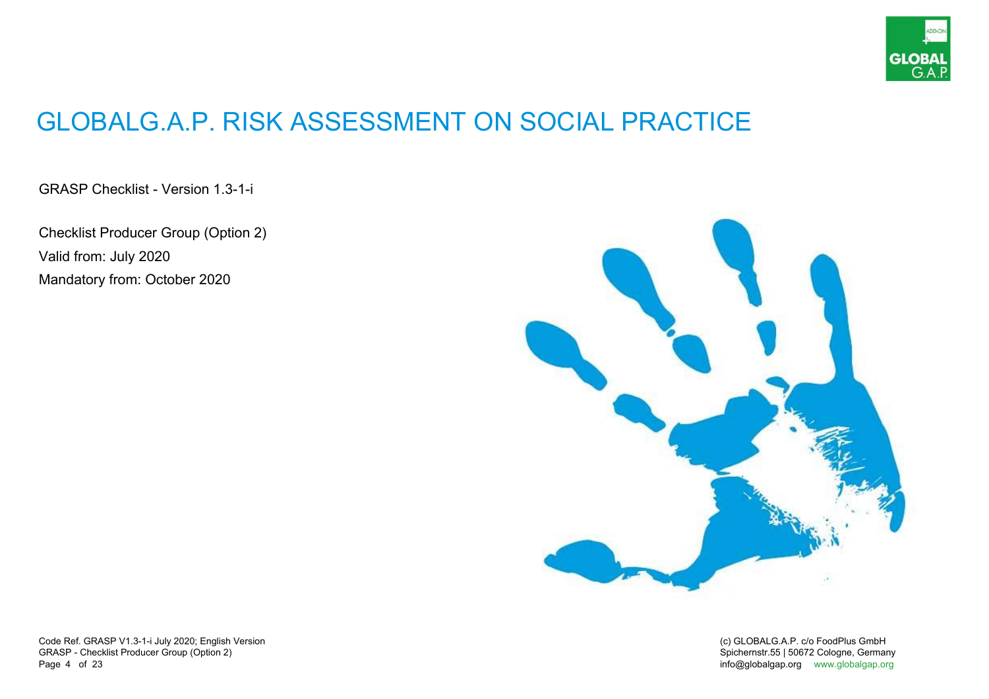

# GLOBALG.A.P. RISK ASSESSMENT ON SOCIAL PRACTICE

GRASP Checklist - Version 1.3-1-i

Checklist Producer Group (Option 2)Valid from: July 2020Mandatory from: October 2020



Code Ref. GRASP V1.3-1-i July 2020; English VersionGRASP - Checklist Producer Group (Option 2)Page 4 of 23 of 23 **of the contract of the contract of the contract of the contract of the contract of the contract of the contract of the contract of the contract of the contract of the contract of the contract of the contract of the** 

(c) GLOBALG.A.P. c/o FoodPlus GmbHSpichernstr.55 | 50672 Cologne, Germany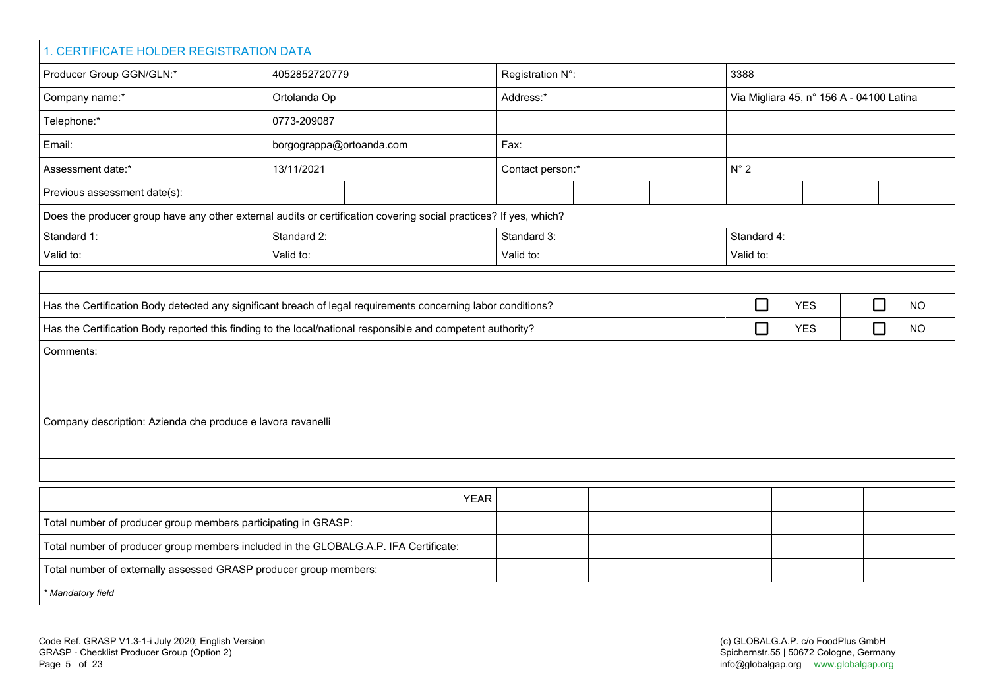| 1. CERTIFICATE HOLDER REGISTRATION DATA                                                                           |                          |                  |             |                  |  |  |                                          |            |                     |  |
|-------------------------------------------------------------------------------------------------------------------|--------------------------|------------------|-------------|------------------|--|--|------------------------------------------|------------|---------------------|--|
| Producer Group GGN/GLN:*                                                                                          | 4052852720779            |                  |             | Registration N°: |  |  | 3388                                     |            |                     |  |
| Company name:*                                                                                                    | Ortolanda Op             |                  |             | Address:*        |  |  | Via Migliara 45, nº 156 A - 04100 Latina |            |                     |  |
| Telephone:*                                                                                                       | 0773-209087              |                  |             |                  |  |  |                                          |            |                     |  |
| Email:                                                                                                            | borgograppa@ortoanda.com |                  |             | Fax:             |  |  |                                          |            |                     |  |
| Assessment date:*                                                                                                 | 13/11/2021               | Contact person:* |             |                  |  |  | $N^{\circ}$ 2                            |            |                     |  |
| Previous assessment date(s):                                                                                      |                          |                  |             |                  |  |  |                                          |            |                     |  |
| Does the producer group have any other external audits or certification covering social practices? If yes, which? |                          |                  |             |                  |  |  |                                          |            |                     |  |
| Standard 1:                                                                                                       | Standard 2:              |                  |             | Standard 3:      |  |  | Standard 4:                              |            |                     |  |
| Valid to:                                                                                                         | Valid to:                |                  |             | Valid to:        |  |  | Valid to:                                |            |                     |  |
|                                                                                                                   |                          |                  |             |                  |  |  |                                          |            |                     |  |
| Has the Certification Body detected any significant breach of legal requirements concerning labor conditions?     |                          |                  |             |                  |  |  | $\Box$                                   | <b>YES</b> | $\Box$<br><b>NO</b> |  |
| Has the Certification Body reported this finding to the local/national responsible and competent authority?       |                          |                  |             |                  |  |  | $\Box$                                   | <b>YES</b> | $\Box$<br>NO        |  |
| Comments:                                                                                                         |                          |                  |             |                  |  |  |                                          |            |                     |  |
|                                                                                                                   |                          |                  |             |                  |  |  |                                          |            |                     |  |
|                                                                                                                   |                          |                  |             |                  |  |  |                                          |            |                     |  |
| Company description: Azienda che produce e lavora ravanelli                                                       |                          |                  |             |                  |  |  |                                          |            |                     |  |
|                                                                                                                   |                          |                  |             |                  |  |  |                                          |            |                     |  |
|                                                                                                                   |                          |                  |             |                  |  |  |                                          |            |                     |  |
|                                                                                                                   |                          |                  | <b>YEAR</b> |                  |  |  |                                          |            |                     |  |
| Total number of producer group members participating in GRASP:                                                    |                          |                  |             |                  |  |  |                                          |            |                     |  |
| Total number of producer group members included in the GLOBALG.A.P. IFA Certificate:                              |                          |                  |             |                  |  |  |                                          |            |                     |  |
| Total number of externally assessed GRASP producer group members:                                                 |                          |                  |             |                  |  |  |                                          |            |                     |  |
| * Mandatory field                                                                                                 |                          |                  |             |                  |  |  |                                          |            |                     |  |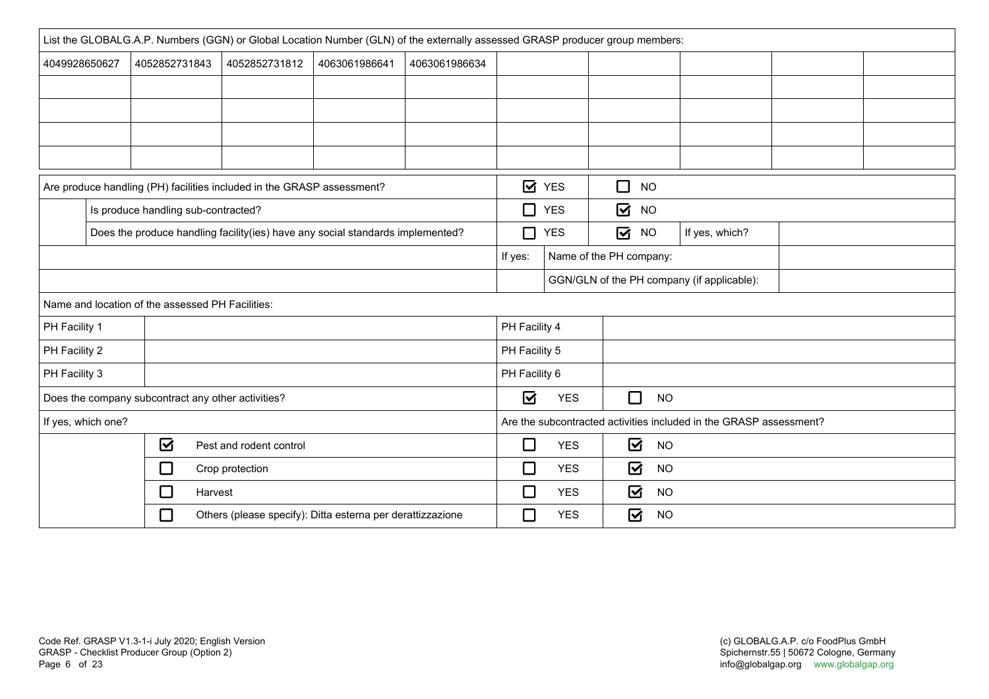|               | List the GLOBALG.A.P. Numbers (GGN) or Global Location Number (GLN) of the externally assessed GRASP producer group members: |                                                    |                                                                        |                         |               |                                      |                |        |                                        |                                                                    |  |
|---------------|------------------------------------------------------------------------------------------------------------------------------|----------------------------------------------------|------------------------------------------------------------------------|-------------------------|---------------|--------------------------------------|----------------|--------|----------------------------------------|--------------------------------------------------------------------|--|
| 4049928650627 |                                                                                                                              | 4052852731843                                      | 4052852731812                                                          | 4063061986641           | 4063061986634 |                                      |                |        |                                        |                                                                    |  |
|               |                                                                                                                              |                                                    |                                                                        |                         |               |                                      |                |        |                                        |                                                                    |  |
|               |                                                                                                                              |                                                    |                                                                        |                         |               |                                      |                |        |                                        |                                                                    |  |
|               |                                                                                                                              |                                                    |                                                                        |                         |               |                                      |                |        |                                        |                                                                    |  |
|               |                                                                                                                              |                                                    |                                                                        |                         |               |                                      |                |        |                                        |                                                                    |  |
|               |                                                                                                                              |                                                    | Are produce handling (PH) facilities included in the GRASP assessment? |                         |               |                                      | <b>Ø</b> YES   | $\Box$ | <b>NO</b>                              |                                                                    |  |
|               |                                                                                                                              | Is produce handling sub-contracted?                |                                                                        |                         |               | □                                    | <b>YES</b>     | ☑      | <b>NO</b>                              |                                                                    |  |
|               | Does the produce handling facility(ies) have any social standards implemented?                                               |                                                    | $\Box$                                                                 | <b>YES</b>              | ☑             | <b>NO</b>                            | If yes, which? |        |                                        |                                                                    |  |
|               |                                                                                                                              |                                                    | If yes:                                                                | Name of the PH company: |               |                                      |                |        |                                        |                                                                    |  |
|               |                                                                                                                              |                                                    |                                                                        |                         |               |                                      |                |        |                                        | GGN/GLN of the PH company (if applicable):                         |  |
|               |                                                                                                                              | Name and location of the assessed PH Facilities:   |                                                                        |                         |               |                                      |                |        |                                        |                                                                    |  |
| PH Facility 1 |                                                                                                                              |                                                    |                                                                        |                         |               | PH Facility 4                        |                |        |                                        |                                                                    |  |
| PH Facility 2 |                                                                                                                              |                                                    |                                                                        |                         |               | PH Facility 5                        |                |        |                                        |                                                                    |  |
| PH Facility 3 |                                                                                                                              |                                                    |                                                                        |                         |               | PH Facility 6                        |                |        |                                        |                                                                    |  |
|               |                                                                                                                              | Does the company subcontract any other activities? |                                                                        |                         |               | ☑                                    | <b>YES</b>     |        | $\Box$<br><b>NO</b>                    |                                                                    |  |
|               | If yes, which one?                                                                                                           |                                                    |                                                                        |                         |               |                                      |                |        |                                        | Are the subcontracted activities included in the GRASP assessment? |  |
|               |                                                                                                                              | ☑                                                  | Pest and rodent control                                                |                         |               | $\Box$                               | <b>YES</b>     |        | $\boldsymbol{\mathsf{z}}$<br><b>NO</b> |                                                                    |  |
|               | $\Box$<br>Crop protection                                                                                                    |                                                    | $\Box$                                                                 | <b>YES</b>              |               | $\overline{\mathbf{S}}$<br><b>NO</b> |                |        |                                        |                                                                    |  |
|               |                                                                                                                              | $\Box$<br>Harvest                                  |                                                                        |                         |               | □                                    | <b>YES</b>     |        | ☑<br><b>NO</b>                         |                                                                    |  |
|               |                                                                                                                              | □                                                  | Others (please specify): Ditta esterna per derattizzazione             |                         |               | $\Box$                               | <b>YES</b>     |        | ☑<br><b>NO</b>                         |                                                                    |  |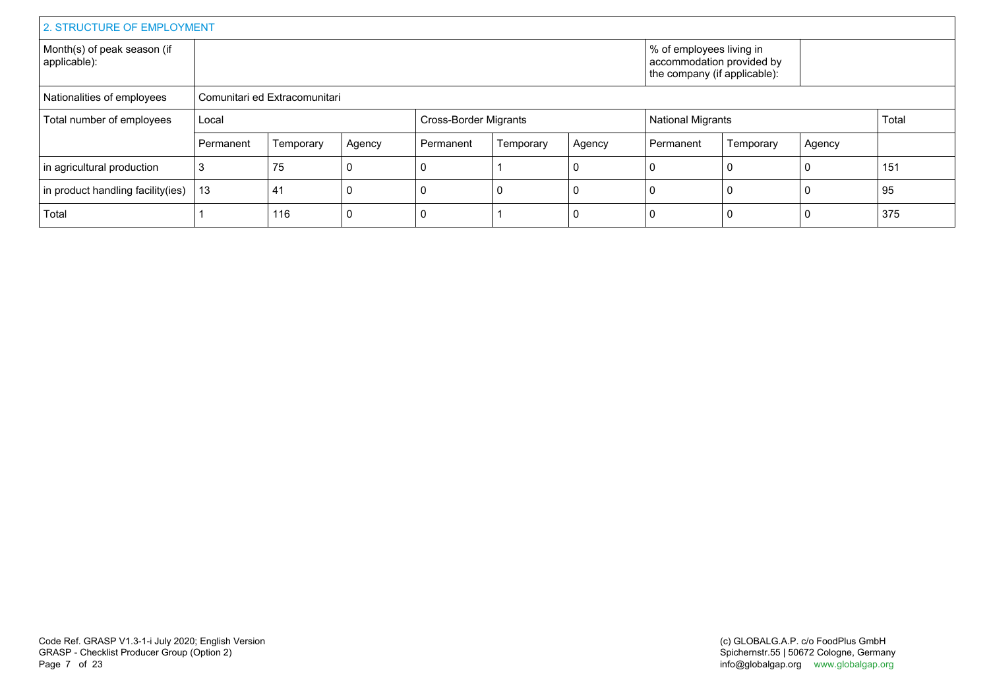| 2. STRUCTURE OF EMPLOYMENT                  |           |                               |        |           |                              |                                                                                       |           |                          |        |     |
|---------------------------------------------|-----------|-------------------------------|--------|-----------|------------------------------|---------------------------------------------------------------------------------------|-----------|--------------------------|--------|-----|
| Month(s) of peak season (if<br>applicable): |           |                               |        |           |                              | % of employees living in<br>accommodation provided by<br>the company (if applicable): |           |                          |        |     |
| Nationalities of employees                  |           | Comunitari ed Extracomunitari |        |           |                              |                                                                                       |           |                          |        |     |
| Total number of employees                   | Local     |                               |        |           | <b>Cross-Border Migrants</b> |                                                                                       |           | <b>National Migrants</b> |        |     |
|                                             | Permanent | Temporary                     | Agency | Permanent | Temporary                    | Agency                                                                                | Permanent | Temporary                | Agency |     |
| in agricultural production                  | З         | 75                            |        |           |                              |                                                                                       | 0         |                          |        | 151 |
| in product handling facility (ies)          | 13        | 41                            |        |           | 0                            |                                                                                       | 0         |                          |        | 95  |
| Total                                       |           | 116                           |        |           |                              |                                                                                       | 0         |                          |        | 375 |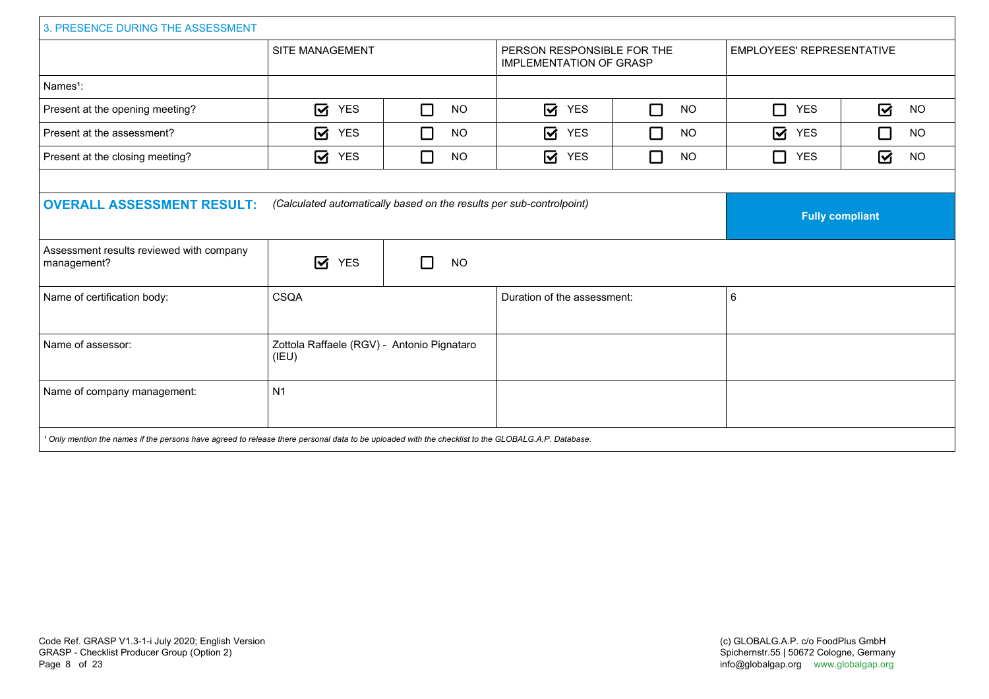| 3. PRESENCE DURING THE ASSESSMENT                                                                                                                             |                                                                      |                     |                                                              |                |                                  |                                      |
|---------------------------------------------------------------------------------------------------------------------------------------------------------------|----------------------------------------------------------------------|---------------------|--------------------------------------------------------------|----------------|----------------------------------|--------------------------------------|
|                                                                                                                                                               | SITE MANAGEMENT                                                      |                     | PERSON RESPONSIBLE FOR THE<br><b>IMPLEMENTATION OF GRASP</b> |                | <b>EMPLOYEES' REPRESENTATIVE</b> |                                      |
| Names <sup>1</sup> :                                                                                                                                          |                                                                      |                     |                                                              |                |                                  |                                      |
| Present at the opening meeting?                                                                                                                               | ☑<br><b>YES</b>                                                      | $\Box$<br><b>NO</b> | $\overline{\mathbf{M}}$<br><b>YES</b>                        | П<br><b>NO</b> | П<br><b>YES</b>                  | $\overline{\mathbf{z}}$<br><b>NO</b> |
| Present at the assessment?                                                                                                                                    | ☑<br><b>YES</b>                                                      | $\Box$<br><b>NO</b> | ☑<br><b>YES</b>                                              | □<br><b>NO</b> | ☑<br><b>YES</b>                  | □<br><b>NO</b>                       |
| Present at the closing meeting?                                                                                                                               | ☑<br><b>YES</b>                                                      | П<br><b>NO</b>      | $\overline{\mathbf{z}}$<br><b>YES</b>                        | П<br><b>NO</b> | П<br><b>YES</b>                  | ☑<br><b>NO</b>                       |
| <b>OVERALL ASSESSMENT RESULT:</b>                                                                                                                             | (Calculated automatically based on the results per sub-controlpoint) |                     | <b>Fully compliant</b>                                       |                |                                  |                                      |
| Assessment results reviewed with company<br>management?                                                                                                       | ☑<br><b>YES</b>                                                      | П<br><b>NO</b>      |                                                              |                |                                  |                                      |
| Name of certification body:                                                                                                                                   | <b>CSQA</b>                                                          |                     | Duration of the assessment:                                  |                | 6                                |                                      |
| Name of assessor:                                                                                                                                             | Zottola Raffaele (RGV) - Antonio Pignataro<br>(IEU)                  |                     |                                                              |                |                                  |                                      |
| Name of company management:                                                                                                                                   | N <sub>1</sub>                                                       |                     |                                                              |                |                                  |                                      |
| <sup>1</sup> Only mention the names if the persons have agreed to release there personal data to be uploaded with the checklist to the GLOBALG.A.P. Database. |                                                                      |                     |                                                              |                |                                  |                                      |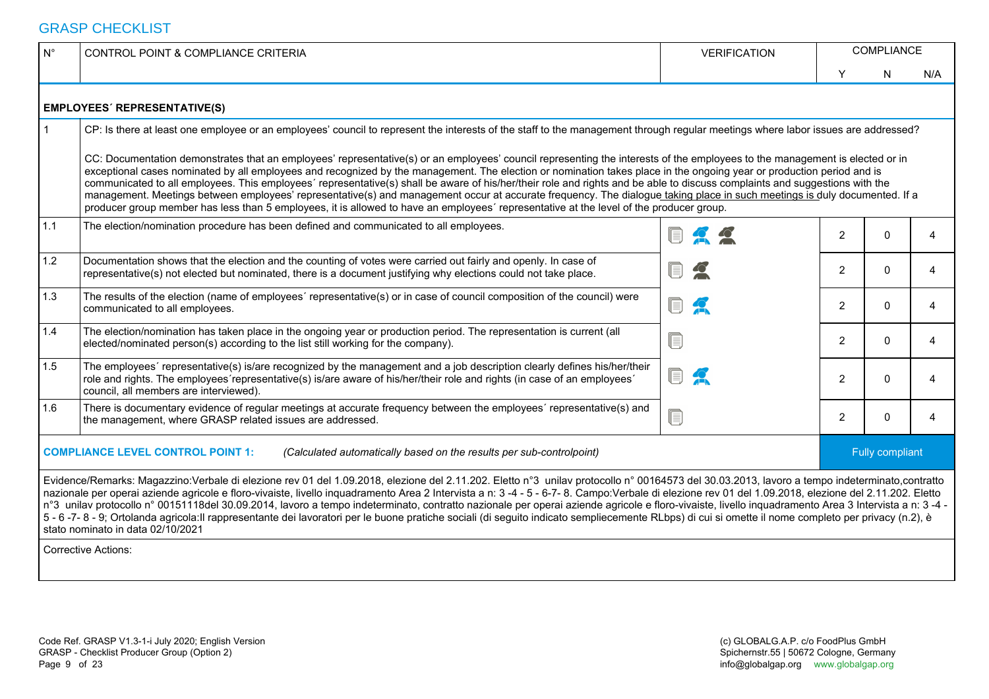#### GRASP CHECKLIST

| $\mathsf{N}^\circ$ | CONTROL POINT & COMPLIANCE CRITERIA                                                                                                                                                                                                                                                                                                                                                                                                                                                                                                                                                                                                                                                                                                                                                                                                                         | <b>VERIFICATION</b> |                | <b>COMPLIANCE</b> |     |  |  |  |  |  |  |
|--------------------|-------------------------------------------------------------------------------------------------------------------------------------------------------------------------------------------------------------------------------------------------------------------------------------------------------------------------------------------------------------------------------------------------------------------------------------------------------------------------------------------------------------------------------------------------------------------------------------------------------------------------------------------------------------------------------------------------------------------------------------------------------------------------------------------------------------------------------------------------------------|---------------------|----------------|-------------------|-----|--|--|--|--|--|--|
|                    |                                                                                                                                                                                                                                                                                                                                                                                                                                                                                                                                                                                                                                                                                                                                                                                                                                                             |                     | Y              | N                 | N/A |  |  |  |  |  |  |
|                    | <b>EMPLOYEES' REPRESENTATIVE(S)</b>                                                                                                                                                                                                                                                                                                                                                                                                                                                                                                                                                                                                                                                                                                                                                                                                                         |                     |                |                   |     |  |  |  |  |  |  |
| $\mathbf{1}$       | CP: Is there at least one employee or an employees' council to represent the interests of the staff to the management through regular meetings where labor issues are addressed?                                                                                                                                                                                                                                                                                                                                                                                                                                                                                                                                                                                                                                                                            |                     |                |                   |     |  |  |  |  |  |  |
|                    | CC: Documentation demonstrates that an employees' representative(s) or an employees' council representing the interests of the employees to the management is elected or in<br>exceptional cases nominated by all employees and recognized by the management. The election or nomination takes place in the ongoing year or production period and is<br>communicated to all employees. This employees' representative(s) shall be aware of his/her/their role and rights and be able to discuss complaints and suggestions with the<br>management. Meetings between employees' representative(s) and management occur at accurate frequency. The dialogue taking place in such meetings is duly documented. If a<br>producer group member has less than 5 employees, it is allowed to have an employees' representative at the level of the producer group. |                     |                |                   |     |  |  |  |  |  |  |
| 1.1                | The election/nomination procedure has been defined and communicated to all employees.                                                                                                                                                                                                                                                                                                                                                                                                                                                                                                                                                                                                                                                                                                                                                                       |                     | $\overline{2}$ | $\Omega$          | 4   |  |  |  |  |  |  |
| 1.2                | Documentation shows that the election and the counting of votes were carried out fairly and openly. In case of<br>representative(s) not elected but nominated, there is a document justifying why elections could not take place.                                                                                                                                                                                                                                                                                                                                                                                                                                                                                                                                                                                                                           | f<br>$\bullet$      | $\overline{2}$ | $\mathbf{0}$      | 4   |  |  |  |  |  |  |
| 1.3                | The results of the election (name of employees' representative(s) or in case of council composition of the council) were<br>communicated to all employees.                                                                                                                                                                                                                                                                                                                                                                                                                                                                                                                                                                                                                                                                                                  | I,                  | $\overline{2}$ | $\mathbf{0}$      | 4   |  |  |  |  |  |  |
| 1.4                | The election/nomination has taken place in the ongoing year or production period. The representation is current (all<br>elected/nominated person(s) according to the list still working for the company).                                                                                                                                                                                                                                                                                                                                                                                                                                                                                                                                                                                                                                                   | ſ.                  | $\overline{2}$ | $\Omega$          | 4   |  |  |  |  |  |  |
| 1.5                | The employees' representative(s) is/are recognized by the management and a job description clearly defines his/her/their<br>role and rights. The employees representative(s) is/are aware of his/her/their role and rights (in case of an employees'<br>council, all members are interviewed).                                                                                                                                                                                                                                                                                                                                                                                                                                                                                                                                                              | ſ.                  | $\overline{2}$ | $\Omega$          | 4   |  |  |  |  |  |  |
| 1.6                | There is documentary evidence of regular meetings at accurate frequency between the employees' representative(s) and<br>the management, where GRASP related issues are addressed.                                                                                                                                                                                                                                                                                                                                                                                                                                                                                                                                                                                                                                                                           | Œ,                  | $\overline{2}$ | $\Omega$          | 4   |  |  |  |  |  |  |
|                    | <b>COMPLIANCE LEVEL CONTROL POINT 1:</b><br>(Calculated automatically based on the results per sub-controlpoint)                                                                                                                                                                                                                                                                                                                                                                                                                                                                                                                                                                                                                                                                                                                                            |                     |                | Fully compliant   |     |  |  |  |  |  |  |
|                    | Evidence/Remarks: Magazzino:Verbale di elezione rev 01 del 1.09.2018, elezione del 2.11.202. Eletto n°3 unilav protocollo n° 00164573 del 30.03.2013, lavoro a tempo indeterminato,contratto<br>nazionale per operai aziende agricole e floro-vivaiste, livello inquadramento Area 2 Intervista a n: 3 -4 - 5 - 6-7-8. Campo:Verbale di elezione rev 01 del 1.09.2018, elezione del 2.11.202. Eletto<br>n°3 unilav protocollo n° 00151118del 30.09.2014, lavoro a tempo indeterminato, contratto nazionale per operai aziende agricole e floro-vivaiste, livello inquadramento Area 3 Intervista a n: 3-4 -<br>5 - 6 -7 - 8 - 9; Ortolanda agricola: Il rappresentante dei lavoratori per le buone pratiche sociali (di seguito indicato sempliecemente RLbps) di cui si omette il nome completo per privacy (n.2), è<br>stato nominato in data 02/10/2021  |                     |                |                   |     |  |  |  |  |  |  |
|                    | <b>Corrective Actions:</b>                                                                                                                                                                                                                                                                                                                                                                                                                                                                                                                                                                                                                                                                                                                                                                                                                                  |                     |                |                   |     |  |  |  |  |  |  |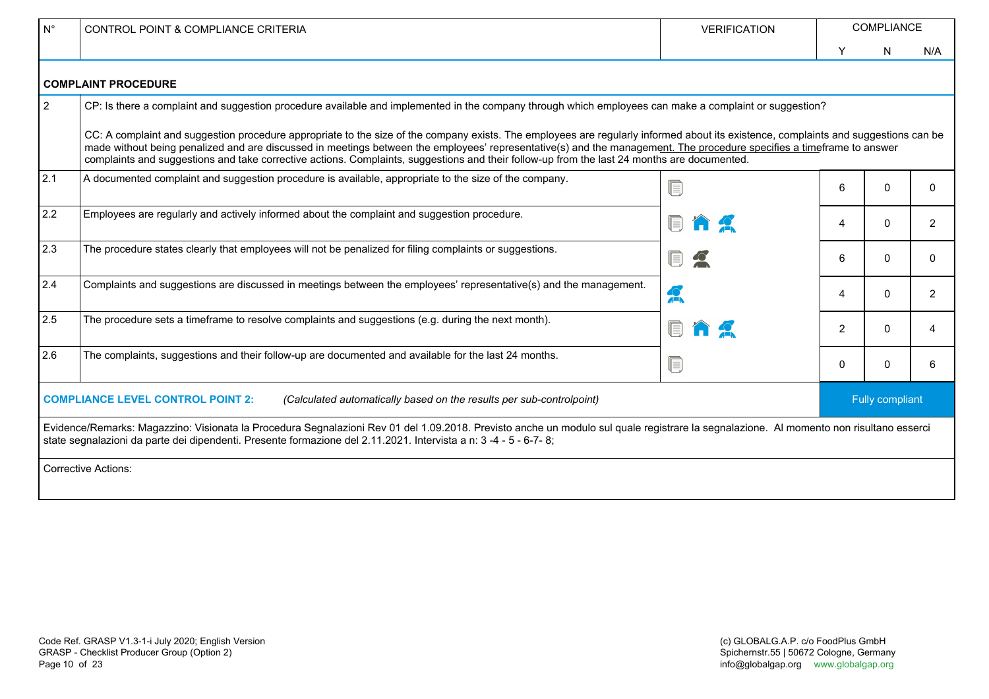| $N^{\circ}$    | CONTROL POINT & COMPLIANCE CRITERIA                                                                                                                                                                                                                                                                                                                                                                                                                                                                         | <b>VERIFICATION</b>             | <b>COMPLIANCE</b> |                 |     |  |  |
|----------------|-------------------------------------------------------------------------------------------------------------------------------------------------------------------------------------------------------------------------------------------------------------------------------------------------------------------------------------------------------------------------------------------------------------------------------------------------------------------------------------------------------------|---------------------------------|-------------------|-----------------|-----|--|--|
|                |                                                                                                                                                                                                                                                                                                                                                                                                                                                                                                             |                                 | Y                 | N               | N/A |  |  |
|                | <b>COMPLAINT PROCEDURE</b>                                                                                                                                                                                                                                                                                                                                                                                                                                                                                  |                                 |                   |                 |     |  |  |
| $\overline{2}$ | CP: Is there a complaint and suggestion procedure available and implemented in the company through which employees can make a complaint or suggestion?                                                                                                                                                                                                                                                                                                                                                      |                                 |                   |                 |     |  |  |
|                | CC: A complaint and suggestion procedure appropriate to the size of the company exists. The employees are regularly informed about its existence, complaints and suggestions can be<br>made without being penalized and are discussed in meetings between the employees' representative(s) and the management. The procedure specifies a timeframe to answer<br>complaints and suggestions and take corrective actions. Complaints, suggestions and their follow-up from the last 24 months are documented. |                                 |                   |                 |     |  |  |
| 2.1            | A documented complaint and suggestion procedure is available, appropriate to the size of the company.                                                                                                                                                                                                                                                                                                                                                                                                       |                                 | 6                 | 0               | 0   |  |  |
| 2.2            | Employees are regularly and actively informed about the complaint and suggestion procedure.                                                                                                                                                                                                                                                                                                                                                                                                                 |                                 | 4                 | 0               | 2   |  |  |
| 2.3            | The procedure states clearly that employees will not be penalized for filing complaints or suggestions.                                                                                                                                                                                                                                                                                                                                                                                                     |                                 | 6                 | $\Omega$        | 0   |  |  |
| 2.4            | Complaints and suggestions are discussed in meetings between the employees' representative(s) and the management.                                                                                                                                                                                                                                                                                                                                                                                           | A                               | 4                 | $\Omega$        | 2   |  |  |
| 2.5            | The procedure sets a timeframe to resolve complaints and suggestions (e.g. during the next month).                                                                                                                                                                                                                                                                                                                                                                                                          |                                 | $\overline{2}$    | $\Omega$        | 4   |  |  |
| 2.6            | The complaints, suggestions and their follow-up are documented and available for the last 24 months.                                                                                                                                                                                                                                                                                                                                                                                                        | $\textcolor{red}{\blacksquare}$ | $\mathbf{0}$      | <sup>n</sup>    | 6   |  |  |
|                | <b>COMPLIANCE LEVEL CONTROL POINT 2:</b><br>(Calculated automatically based on the results per sub-controlpoint)                                                                                                                                                                                                                                                                                                                                                                                            |                                 |                   | Fully compliant |     |  |  |
|                | Evidence/Remarks: Magazzino: Visionata la Procedura Segnalazioni Rev 01 del 1.09.2018. Previsto anche un modulo sul quale registrare la segnalazione. Al momento non risultano esserci<br>state segnalazioni da parte dei dipendenti. Presente formazione del 2.11.2021. Intervista a n: 3 -4 - 5 - 6-7-8;                                                                                                                                                                                                  |                                 |                   |                 |     |  |  |
|                | <b>Corrective Actions:</b>                                                                                                                                                                                                                                                                                                                                                                                                                                                                                  |                                 |                   |                 |     |  |  |
|                |                                                                                                                                                                                                                                                                                                                                                                                                                                                                                                             |                                 |                   |                 |     |  |  |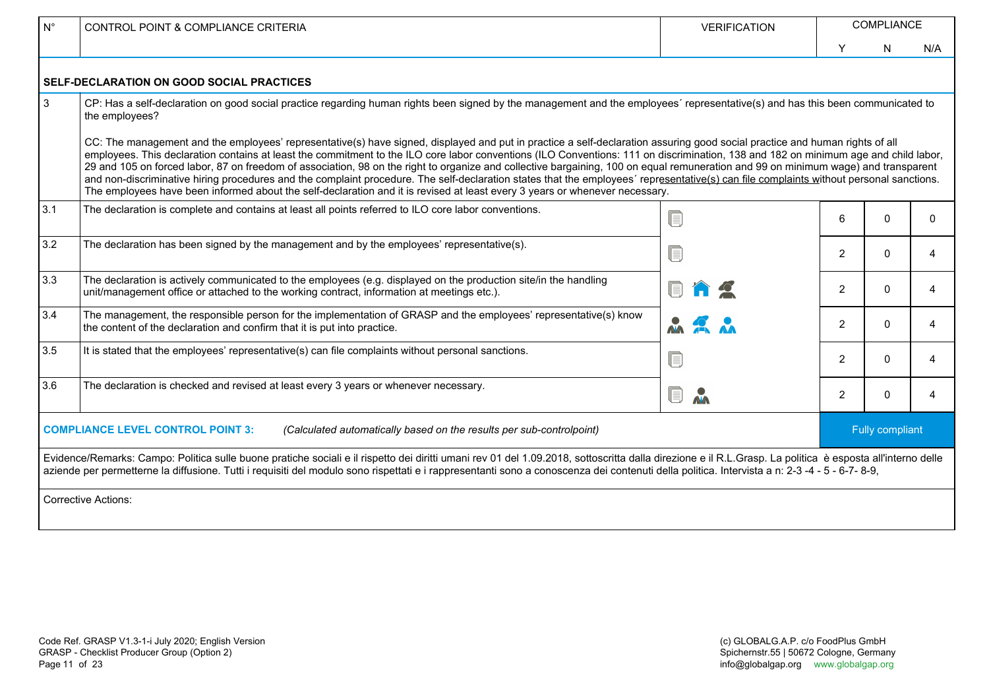| $N^{\circ}$ | <b>CONTROL POINT &amp; COMPLIANCE CRITERIA</b>                                                                                                                                                                                                                                                                                                                                                                                                                                                                                                                                                                                                                                                                                                                                                                                                                                                                                                                                                                                                                                         | <b>VERIFICATION</b> | <b>COMPLIANCE</b> |                 |          |  |
|-------------|----------------------------------------------------------------------------------------------------------------------------------------------------------------------------------------------------------------------------------------------------------------------------------------------------------------------------------------------------------------------------------------------------------------------------------------------------------------------------------------------------------------------------------------------------------------------------------------------------------------------------------------------------------------------------------------------------------------------------------------------------------------------------------------------------------------------------------------------------------------------------------------------------------------------------------------------------------------------------------------------------------------------------------------------------------------------------------------|---------------------|-------------------|-----------------|----------|--|
|             |                                                                                                                                                                                                                                                                                                                                                                                                                                                                                                                                                                                                                                                                                                                                                                                                                                                                                                                                                                                                                                                                                        |                     | Y                 | N               | N/A      |  |
|             | <b>SELF-DECLARATION ON GOOD SOCIAL PRACTICES</b>                                                                                                                                                                                                                                                                                                                                                                                                                                                                                                                                                                                                                                                                                                                                                                                                                                                                                                                                                                                                                                       |                     |                   |                 |          |  |
| 3           | CP: Has a self-declaration on good social practice regarding human rights been signed by the management and the employees' representative(s) and has this been communicated to<br>the employees?<br>CC: The management and the employees' representative(s) have signed, displayed and put in practice a self-declaration assuring good social practice and human rights of all<br>employees. This declaration contains at least the commitment to the ILO core labor conventions (ILO Conventions: 111 on discrimination, 138 and 182 on minimum age and child labor,<br>29 and 105 on forced labor, 87 on freedom of association, 98 on the right to organize and collective bargaining, 100 on equal remuneration and 99 on minimum wage) and transparent<br>and non-discriminative hiring procedures and the complaint procedure. The self-declaration states that the employees' representative(s) can file complaints without personal sanctions.<br>The employees have been informed about the self-declaration and it is revised at least every 3 years or whenever necessary. |                     |                   |                 |          |  |
| 3.1         | The declaration is complete and contains at least all points referred to ILO core labor conventions.                                                                                                                                                                                                                                                                                                                                                                                                                                                                                                                                                                                                                                                                                                                                                                                                                                                                                                                                                                                   | $\blacksquare$      | 6                 | 0               | $\Omega$ |  |
| 3.2         | The declaration has been signed by the management and by the employees' representative(s).                                                                                                                                                                                                                                                                                                                                                                                                                                                                                                                                                                                                                                                                                                                                                                                                                                                                                                                                                                                             | Q                   | 2                 | $\mathbf{0}$    | 4        |  |
| 3.3         | The declaration is actively communicated to the employees (e.g. displayed on the production site/in the handling<br>unit/management office or attached to the working contract, information at meetings etc.).                                                                                                                                                                                                                                                                                                                                                                                                                                                                                                                                                                                                                                                                                                                                                                                                                                                                         |                     | $\overline{2}$    | $\Omega$        | 4        |  |
| 3.4         | The management, the responsible person for the implementation of GRASP and the employees' representative(s) know<br>the content of the declaration and confirm that it is put into practice.                                                                                                                                                                                                                                                                                                                                                                                                                                                                                                                                                                                                                                                                                                                                                                                                                                                                                           |                     | 2                 | $\Omega$        | 4        |  |
| 3.5         | It is stated that the employees' representative(s) can file complaints without personal sanctions.                                                                                                                                                                                                                                                                                                                                                                                                                                                                                                                                                                                                                                                                                                                                                                                                                                                                                                                                                                                     | ſ.                  | 2                 | $\Omega$        | 4        |  |
| 3.6         | The declaration is checked and revised at least every 3 years or whenever necessary.                                                                                                                                                                                                                                                                                                                                                                                                                                                                                                                                                                                                                                                                                                                                                                                                                                                                                                                                                                                                   | Q<br>$\mathbf{A}$   | 2                 | $\Omega$        | 4        |  |
|             | <b>COMPLIANCE LEVEL CONTROL POINT 3:</b><br>(Calculated automatically based on the results per sub-controlpoint)                                                                                                                                                                                                                                                                                                                                                                                                                                                                                                                                                                                                                                                                                                                                                                                                                                                                                                                                                                       |                     |                   | Fully compliant |          |  |
|             | Evidence/Remarks: Campo: Politica sulle buone pratiche sociali e il rispetto dei diritti umani rev 01 del 1.09.2018, sottoscritta dalla direzione e il R.L.Grasp. La politica è esposta all'interno delle<br>aziende per permetterne la diffusione. Tutti i requisiti del modulo sono rispettati e i rappresentanti sono a conoscenza dei contenuti della politica. Intervista a n: 2-3 -4 - 5 - 6-7- 8-9,<br><b>Corrective Actions:</b>                                                                                                                                                                                                                                                                                                                                                                                                                                                                                                                                                                                                                                               |                     |                   |                 |          |  |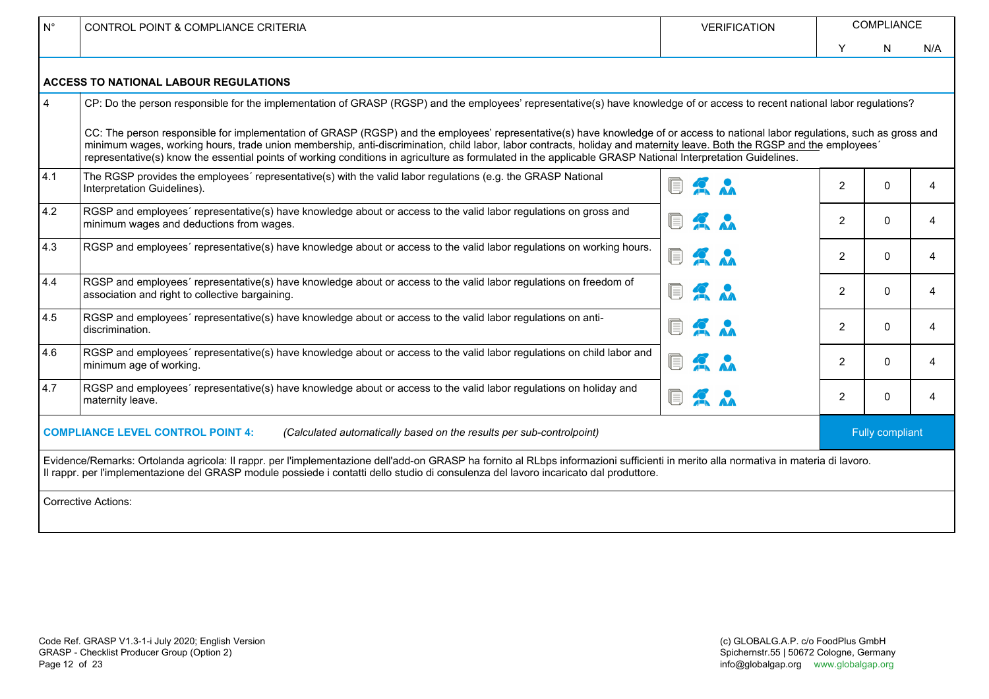| $N^{\circ}$    | <b>CONTROL POINT &amp; COMPLIANCE CRITERIA</b>                                                                                                                                                                                                                                                                                                                                                                                                                                                                          | <b>VERIFICATION</b> | COMPLIANCE     |                 |     |  |  |
|----------------|-------------------------------------------------------------------------------------------------------------------------------------------------------------------------------------------------------------------------------------------------------------------------------------------------------------------------------------------------------------------------------------------------------------------------------------------------------------------------------------------------------------------------|---------------------|----------------|-----------------|-----|--|--|
|                |                                                                                                                                                                                                                                                                                                                                                                                                                                                                                                                         |                     | Y              | N               | N/A |  |  |
|                | <b>ACCESS TO NATIONAL LABOUR REGULATIONS</b>                                                                                                                                                                                                                                                                                                                                                                                                                                                                            |                     |                |                 |     |  |  |
| $\overline{4}$ | CP: Do the person responsible for the implementation of GRASP (RGSP) and the employees' representative(s) have knowledge of or access to recent national labor regulations?                                                                                                                                                                                                                                                                                                                                             |                     |                |                 |     |  |  |
|                | CC: The person responsible for implementation of GRASP (RGSP) and the employees' representative(s) have knowledge of or access to national labor regulations, such as gross and<br>minimum wages, working hours, trade union membership, anti-discrimination, child labor, labor contracts, holiday and maternity leave. Both the RGSP and the employees'<br>representative(s) know the essential points of working conditions in agriculture as formulated in the applicable GRASP National Interpretation Guidelines. |                     |                |                 |     |  |  |
| 4.1            | The RGSP provides the employees' representative(s) with the valid labor regulations (e.g. the GRASP National<br>Interpretation Guidelines).                                                                                                                                                                                                                                                                                                                                                                             |                     | 2              | $\Omega$        | 4   |  |  |
| 4.2            | RGSP and employees' representative(s) have knowledge about or access to the valid labor regulations on gross and<br>minimum wages and deductions from wages.                                                                                                                                                                                                                                                                                                                                                            | $\sum_{\lambda}$    | $\overline{2}$ | $\Omega$        | 4   |  |  |
| 4.3            | RGSP and employees' representative(s) have knowledge about or access to the valid labor regulations on working hours.                                                                                                                                                                                                                                                                                                                                                                                                   | $\sum_{\lambda}$    | $\overline{2}$ | $\Omega$        | 4   |  |  |
| 4.4            | RGSP and employees' representative(s) have knowledge about or access to the valid labor regulations on freedom of<br>association and right to collective bargaining.                                                                                                                                                                                                                                                                                                                                                    |                     | $\overline{2}$ | $\Omega$        | 4   |  |  |
| 4.5            | RGSP and employees' representative(s) have knowledge about or access to the valid labor regulations on anti-<br>discrimination.                                                                                                                                                                                                                                                                                                                                                                                         | 2 <sub>n</sub><br>E | $\overline{2}$ | $\Omega$        | 4   |  |  |
| 4.6            | RGSP and employees' representative(s) have knowledge about or access to the valid labor regulations on child labor and<br>minimum age of working.                                                                                                                                                                                                                                                                                                                                                                       |                     | $\overline{2}$ | $\Omega$        | 4   |  |  |
| 4.7            | RGSP and employees' representative(s) have knowledge about or access to the valid labor regulations on holiday and<br>maternity leave.                                                                                                                                                                                                                                                                                                                                                                                  | <b>DAA</b>          | $\overline{2}$ | $\mathbf{0}$    | 4   |  |  |
|                | <b>COMPLIANCE LEVEL CONTROL POINT 4:</b><br>(Calculated automatically based on the results per sub-controlpoint)                                                                                                                                                                                                                                                                                                                                                                                                        |                     |                | Fully compliant |     |  |  |
|                | Evidence/Remarks: Ortolanda agricola: Il rappr. per l'implementazione dell'add-on GRASP ha fornito al RLbps informazioni sufficienti in merito alla normativa in materia di lavoro.<br>Il rappr. per l'implementazione del GRASP module possiede i contatti dello studio di consulenza del lavoro incaricato dal produttore.                                                                                                                                                                                            |                     |                |                 |     |  |  |
|                | <b>Corrective Actions:</b>                                                                                                                                                                                                                                                                                                                                                                                                                                                                                              |                     |                |                 |     |  |  |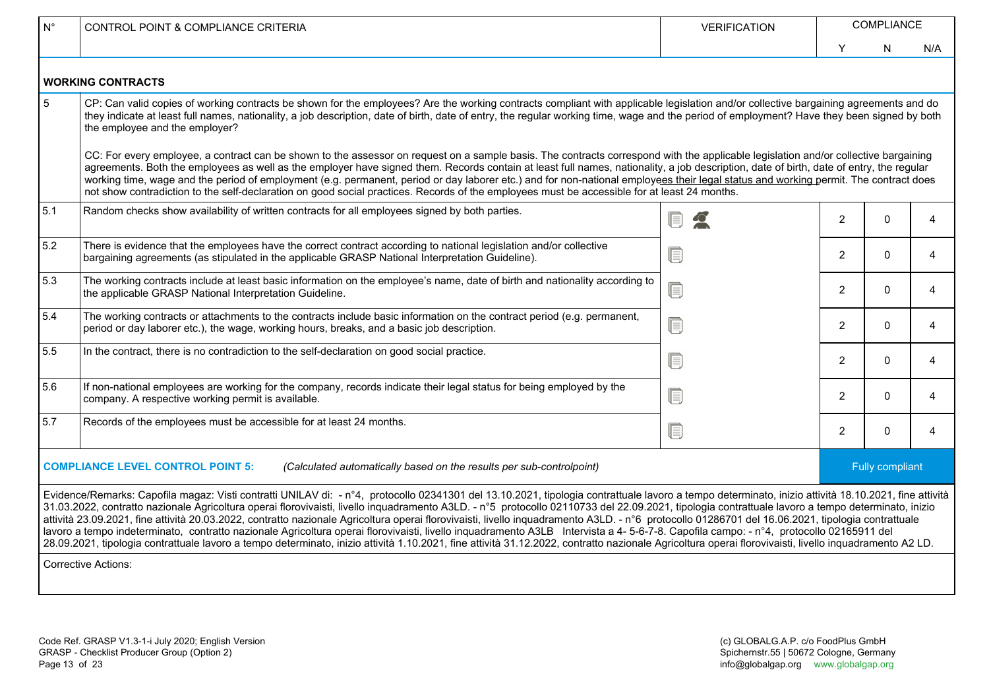| $\mathsf{N}^\circ$ | <b>CONTROL POINT &amp; COMPLIANCE CRITERIA</b>                                                                                                                                                                                                                                                                                                                                                                                                                                                                                                                                                                                                                                                                                                                                                                                                                                                                                                                                                                    | <b>VERIFICATION</b> | COMPLIANCE     |                 |     |  |  |  |  |  |
|--------------------|-------------------------------------------------------------------------------------------------------------------------------------------------------------------------------------------------------------------------------------------------------------------------------------------------------------------------------------------------------------------------------------------------------------------------------------------------------------------------------------------------------------------------------------------------------------------------------------------------------------------------------------------------------------------------------------------------------------------------------------------------------------------------------------------------------------------------------------------------------------------------------------------------------------------------------------------------------------------------------------------------------------------|---------------------|----------------|-----------------|-----|--|--|--|--|--|
|                    |                                                                                                                                                                                                                                                                                                                                                                                                                                                                                                                                                                                                                                                                                                                                                                                                                                                                                                                                                                                                                   |                     | Y              | N               | N/A |  |  |  |  |  |
|                    | <b>WORKING CONTRACTS</b>                                                                                                                                                                                                                                                                                                                                                                                                                                                                                                                                                                                                                                                                                                                                                                                                                                                                                                                                                                                          |                     |                |                 |     |  |  |  |  |  |
| 5                  | CP: Can valid copies of working contracts be shown for the employees? Are the working contracts compliant with applicable legislation and/or collective bargaining agreements and do<br>they indicate at least full names, nationality, a job description, date of birth, date of entry, the regular working time, wage and the period of employment? Have they been signed by both<br>the employee and the employer?                                                                                                                                                                                                                                                                                                                                                                                                                                                                                                                                                                                             |                     |                |                 |     |  |  |  |  |  |
|                    | CC: For every employee, a contract can be shown to the assessor on request on a sample basis. The contracts correspond with the applicable legislation and/or collective bargaining<br>agreements. Both the employees as well as the employer have signed them. Records contain at least full names, nationality, a job description, date of birth, date of entry, the regular<br>working time, wage and the period of employment (e.g. permanent, period or day laborer etc.) and for non-national employees their legal status and working permit. The contract does<br>not show contradiction to the self-declaration on good social practices. Records of the employees must be accessible for at least 24 months.                                                                                                                                                                                                                                                                                            |                     |                |                 |     |  |  |  |  |  |
| 5.1                | Random checks show availability of written contracts for all employees signed by both parties.                                                                                                                                                                                                                                                                                                                                                                                                                                                                                                                                                                                                                                                                                                                                                                                                                                                                                                                    |                     | $\mathbf{2}$   | $\Omega$        | 4   |  |  |  |  |  |
| 5.2                | There is evidence that the employees have the correct contract according to national legislation and/or collective<br>bargaining agreements (as stipulated in the applicable GRASP National Interpretation Guideline).                                                                                                                                                                                                                                                                                                                                                                                                                                                                                                                                                                                                                                                                                                                                                                                            |                     | $\overline{2}$ | $\Omega$        | 4   |  |  |  |  |  |
| 5.3                | The working contracts include at least basic information on the employee's name, date of birth and nationality according to<br>the applicable GRASP National Interpretation Guideline.                                                                                                                                                                                                                                                                                                                                                                                                                                                                                                                                                                                                                                                                                                                                                                                                                            | UJ                  | 2              | $\Omega$        | 4   |  |  |  |  |  |
| 5.4                | The working contracts or attachments to the contracts include basic information on the contract period (e.g. permanent,<br>period or day laborer etc.), the wage, working hours, breaks, and a basic job description.                                                                                                                                                                                                                                                                                                                                                                                                                                                                                                                                                                                                                                                                                                                                                                                             |                     | 2              | $\Omega$        | 4   |  |  |  |  |  |
| 5.5                | In the contract, there is no contradiction to the self-declaration on good social practice.                                                                                                                                                                                                                                                                                                                                                                                                                                                                                                                                                                                                                                                                                                                                                                                                                                                                                                                       |                     | 2              | $\Omega$        | 4   |  |  |  |  |  |
| 5.6                | If non-national employees are working for the company, records indicate their legal status for being employed by the<br>company. A respective working permit is available.                                                                                                                                                                                                                                                                                                                                                                                                                                                                                                                                                                                                                                                                                                                                                                                                                                        |                     | 2              | $\Omega$        | 4   |  |  |  |  |  |
| 5.7                | Records of the employees must be accessible for at least 24 months.                                                                                                                                                                                                                                                                                                                                                                                                                                                                                                                                                                                                                                                                                                                                                                                                                                                                                                                                               |                     | $\overline{2}$ | $\Omega$        | 4   |  |  |  |  |  |
|                    | <b>COMPLIANCE LEVEL CONTROL POINT 5:</b><br>(Calculated automatically based on the results per sub-controlpoint)                                                                                                                                                                                                                                                                                                                                                                                                                                                                                                                                                                                                                                                                                                                                                                                                                                                                                                  |                     |                | Fully compliant |     |  |  |  |  |  |
|                    | Evidence/Remarks: Capofila magaz: Visti contratti UNILAV di: - nº4, protocollo 02341301 del 13.10.2021, tipologia contrattuale lavoro a tempo determinato, inizio attività 18.10.2021, fine attività<br>31.03.2022, contratto nazionale Agricoltura operai florovivaisti, livello inquadramento A3LD. - n°5 protocollo 02110733 del 22.09.2021, tipologia contrattuale lavoro a tempo determinato, inizio<br>attività 23.09.2021, fine attività 20.03.2022, contratto nazionale Agricoltura operai florovivaisti, livello inquadramento A3LD. - n°6 protocollo 01286701 del 16.06.2021, tipologia contrattuale<br>lavoro a tempo indeterminato, contratto nazionale Agricoltura operai florovivaisti, livello inquadramento A3LB Intervista a 4-5-6-7-8. Capofila campo: - nº4, protocollo 02165911 del<br>28.09.2021, tipologia contrattuale lavoro a tempo determinato, inizio attività 1.10.2021, fine attività 31.12.2022, contratto nazionale Agricoltura operai florovivaisti, livello inquadramento A2 LD. |                     |                |                 |     |  |  |  |  |  |
|                    | <b>Corrective Actions:</b>                                                                                                                                                                                                                                                                                                                                                                                                                                                                                                                                                                                                                                                                                                                                                                                                                                                                                                                                                                                        |                     |                |                 |     |  |  |  |  |  |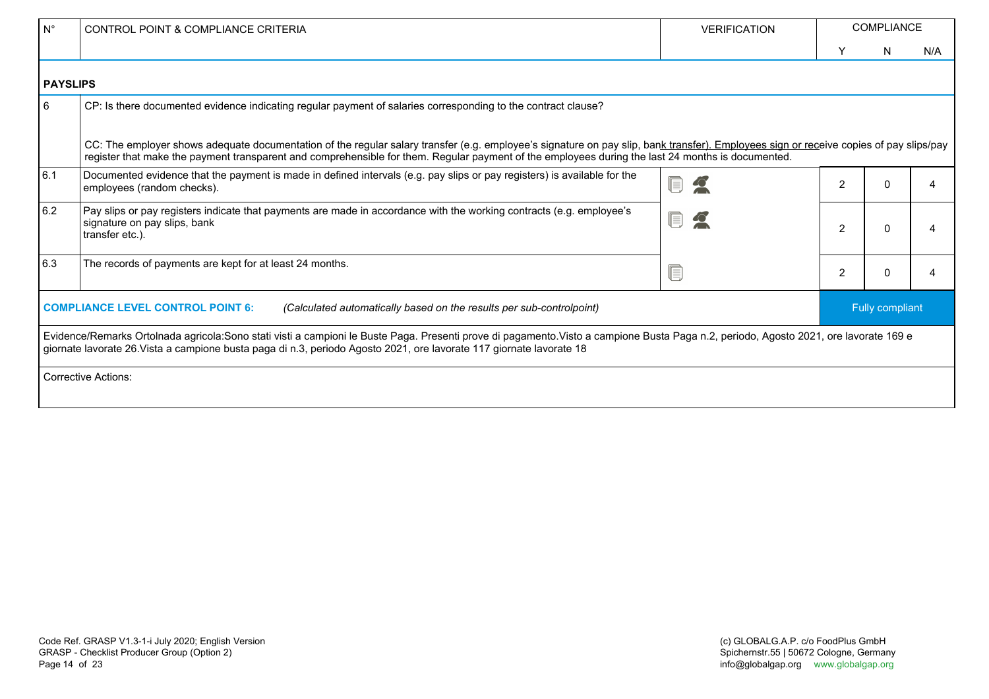| $N^{\circ}$     | CONTROL POINT & COMPLIANCE CRITERIA                                                                                                                                                                                                                                                                                                         | <b>VERIFICATION</b> |                 | <b>COMPLIANCE</b> |     |  |  |  |  |  |  |
|-----------------|---------------------------------------------------------------------------------------------------------------------------------------------------------------------------------------------------------------------------------------------------------------------------------------------------------------------------------------------|---------------------|-----------------|-------------------|-----|--|--|--|--|--|--|
|                 |                                                                                                                                                                                                                                                                                                                                             |                     | Y               | N                 | N/A |  |  |  |  |  |  |
| <b>PAYSLIPS</b> |                                                                                                                                                                                                                                                                                                                                             |                     |                 |                   |     |  |  |  |  |  |  |
| 6               | CP: Is there documented evidence indicating regular payment of salaries corresponding to the contract clause?                                                                                                                                                                                                                               |                     |                 |                   |     |  |  |  |  |  |  |
|                 | CC: The employer shows adequate documentation of the regular salary transfer (e.g. employee's signature on pay slip, bank transfer). Employees sign or receive copies of pay slips/pay<br>register that make the payment transparent and comprehensible for them. Regular payment of the employees during the last 24 months is documented. |                     |                 |                   |     |  |  |  |  |  |  |
| 6.1             | Documented evidence that the payment is made in defined intervals (e.g. pay slips or pay registers) is available for the<br>employees (random checks).                                                                                                                                                                                      |                     | 2               | n                 | ⊿   |  |  |  |  |  |  |
| 6.2             | Pay slips or pay registers indicate that payments are made in accordance with the working contracts (e.g. employee's<br>signature on pay slips, bank<br>transfer etc.).                                                                                                                                                                     |                     | $\overline{2}$  | 0                 |     |  |  |  |  |  |  |
| 6.3             | The records of payments are kept for at least 24 months.                                                                                                                                                                                                                                                                                    |                     | $\overline{2}$  | 0                 | Δ   |  |  |  |  |  |  |
|                 | <b>COMPLIANCE LEVEL CONTROL POINT 6:</b><br>(Calculated automatically based on the results per sub-controlpoint)                                                                                                                                                                                                                            |                     | Fully compliant |                   |     |  |  |  |  |  |  |
|                 | Evidence/Remarks Ortolnada agricola:Sono stati visti a campioni le Buste Paga. Presenti prove di pagamento.Visto a campione Busta Paga n.2, periodo, Agosto 2021, ore lavorate 169 e<br>giornate lavorate 26. Vista a campione busta paga di n.3, periodo Agosto 2021, ore lavorate 117 giornate lavorate 18                                |                     |                 |                   |     |  |  |  |  |  |  |
|                 | Corrective Actions:                                                                                                                                                                                                                                                                                                                         |                     |                 |                   |     |  |  |  |  |  |  |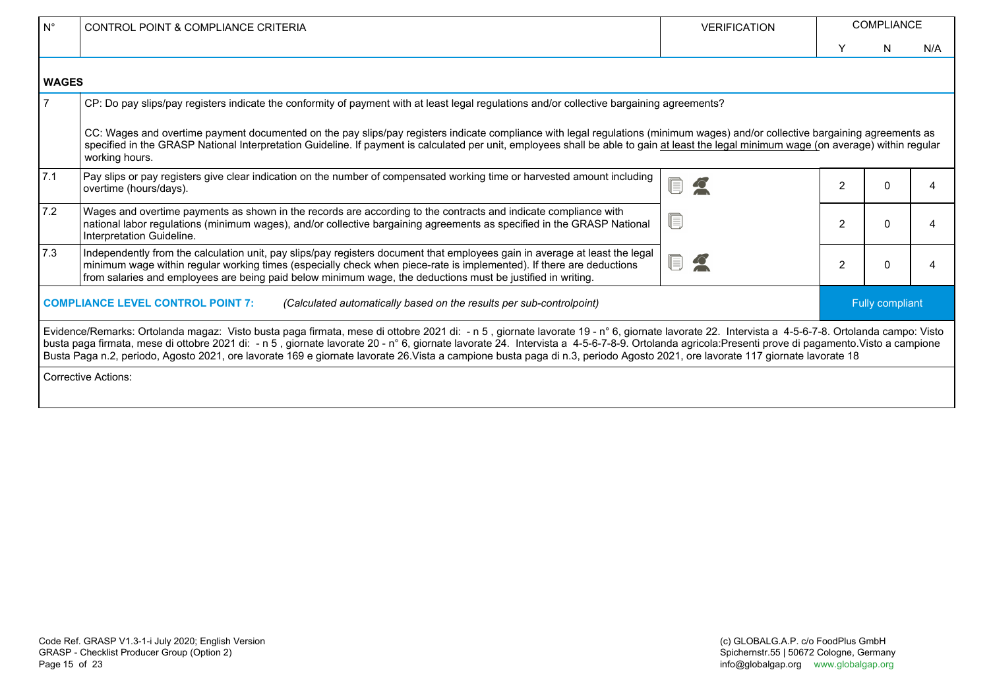| $N^{\circ}$  | CONTROL POINT & COMPLIANCE CRITERIA                                                                                                                                                                                                                                                                                                                                                                                                                                                                                                                                                  | <b>VERIFICATION</b> |                | <b>COMPLIANCE</b> |     |
|--------------|--------------------------------------------------------------------------------------------------------------------------------------------------------------------------------------------------------------------------------------------------------------------------------------------------------------------------------------------------------------------------------------------------------------------------------------------------------------------------------------------------------------------------------------------------------------------------------------|---------------------|----------------|-------------------|-----|
|              |                                                                                                                                                                                                                                                                                                                                                                                                                                                                                                                                                                                      |                     | Y              | N.                | N/A |
| <b>WAGES</b> |                                                                                                                                                                                                                                                                                                                                                                                                                                                                                                                                                                                      |                     |                |                   |     |
|              | CP: Do pay slips/pay registers indicate the conformity of payment with at least legal regulations and/or collective bargaining agreements?                                                                                                                                                                                                                                                                                                                                                                                                                                           |                     |                |                   |     |
|              | CC: Wages and overtime payment documented on the pay slips/pay registers indicate compliance with legal regulations (minimum wages) and/or collective bargaining agreements as<br>specified in the GRASP National Interpretation Guideline. If payment is calculated per unit, employees shall be able to gain at least the legal minimum wage (on average) within regular<br>working hours.                                                                                                                                                                                         |                     |                |                   |     |
| 7.1          | Pay slips or pay registers give clear indication on the number of compensated working time or harvested amount including<br>overtime (hours/days).                                                                                                                                                                                                                                                                                                                                                                                                                                   |                     | $\overline{2}$ |                   | Δ   |
| 7.2          | Wages and overtime payments as shown in the records are according to the contracts and indicate compliance with<br>national labor regulations (minimum wages), and/or collective bargaining agreements as specified in the GRASP National<br>Interpretation Guideline.                                                                                                                                                                                                                                                                                                               |                     | $\overline{2}$ |                   | 4   |
| 7.3          | Independently from the calculation unit, pay slips/pay registers document that employees gain in average at least the legal<br>minimum wage within regular working times (especially check when piece-rate is implemented). If there are deductions<br>from salaries and employees are being paid below minimum wage, the deductions must be justified in writing.                                                                                                                                                                                                                   | $\bullet$           | $\overline{2}$ |                   | 4   |
|              | <b>COMPLIANCE LEVEL CONTROL POINT 7:</b><br>(Calculated automatically based on the results per sub-controlpoint)                                                                                                                                                                                                                                                                                                                                                                                                                                                                     |                     |                | Fully compliant   |     |
|              | Evidence/Remarks: Ortolanda magaz: Visto busta paga firmata, mese di ottobre 2021 di: - n 5, giornate lavorate 19 - n° 6, giornate lavorate 22. Intervista a 4-5-6-7-8. Ortolanda campo: Visto<br>busta paga firmata, mese di ottobre 2021 di: - n 5, giornate lavorate 20 - n° 6, giornate lavorate 24. Intervista a 4-5-6-7-8-9. Ortolanda agricola:Presenti prove di pagamento. Visto a campione<br>Busta Paga n.2, periodo, Agosto 2021, ore lavorate 169 e giornate lavorate 26. Vista a campione busta paga di n.3, periodo Agosto 2021, ore lavorate 117 giornate lavorate 18 |                     |                |                   |     |
|              | <b>Corrective Actions:</b>                                                                                                                                                                                                                                                                                                                                                                                                                                                                                                                                                           |                     |                |                   |     |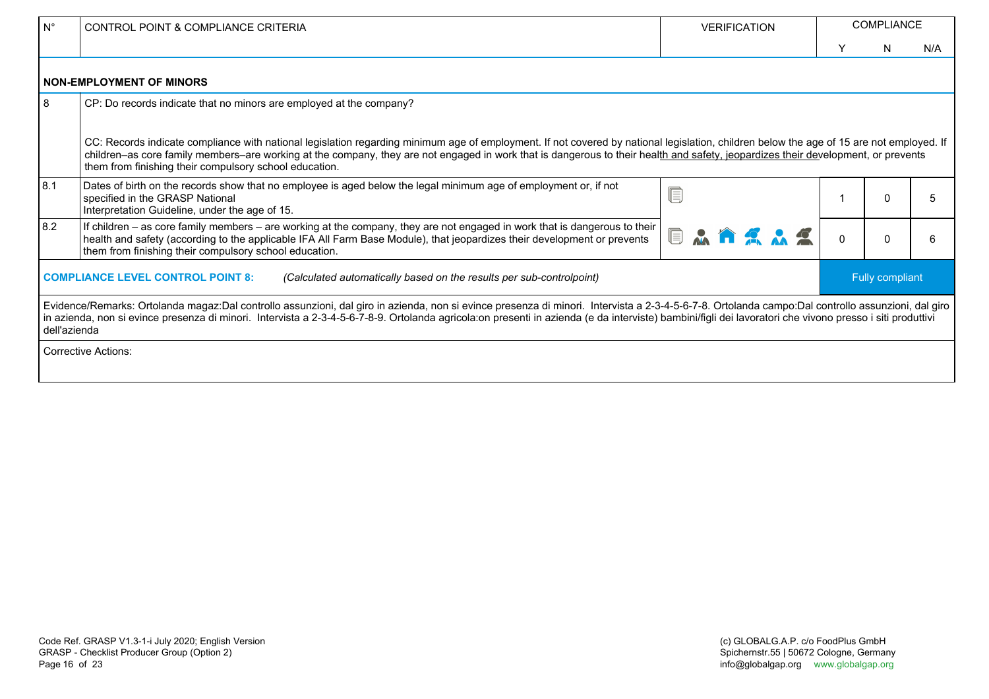| $N^{\circ}$                                                                                                                                                                                                                                                                                                                                                                                                                   | CONTROL POINT & COMPLIANCE CRITERIA                                                                                                                                                                                                                                                                                                                                                                                                     | <b>VERIFICATION</b> |          | <b>COMPLIANCE</b> |     |  |
|-------------------------------------------------------------------------------------------------------------------------------------------------------------------------------------------------------------------------------------------------------------------------------------------------------------------------------------------------------------------------------------------------------------------------------|-----------------------------------------------------------------------------------------------------------------------------------------------------------------------------------------------------------------------------------------------------------------------------------------------------------------------------------------------------------------------------------------------------------------------------------------|---------------------|----------|-------------------|-----|--|
|                                                                                                                                                                                                                                                                                                                                                                                                                               |                                                                                                                                                                                                                                                                                                                                                                                                                                         |                     | Y        | N                 | N/A |  |
|                                                                                                                                                                                                                                                                                                                                                                                                                               | <b>NON-EMPLOYMENT OF MINORS</b>                                                                                                                                                                                                                                                                                                                                                                                                         |                     |          |                   |     |  |
| 8                                                                                                                                                                                                                                                                                                                                                                                                                             | CP: Do records indicate that no minors are employed at the company?                                                                                                                                                                                                                                                                                                                                                                     |                     |          |                   |     |  |
|                                                                                                                                                                                                                                                                                                                                                                                                                               | CC: Records indicate compliance with national legislation regarding minimum age of employment. If not covered by national legislation, children below the age of 15 are not employed. If<br>children-as core family members-are working at the company, they are not engaged in work that is dangerous to their health and safety, jeopardizes their development, or prevents<br>them from finishing their compulsory school education. |                     |          |                   |     |  |
| 8.1                                                                                                                                                                                                                                                                                                                                                                                                                           | Dates of birth on the records show that no employee is aged below the legal minimum age of employment or, if not<br>specified in the GRASP National<br>Interpretation Guideline, under the age of 15.                                                                                                                                                                                                                                   | E                   |          | 0                 | 5   |  |
| 8.2                                                                                                                                                                                                                                                                                                                                                                                                                           | If children $-$ as core family members $-$ are working at the company, they are not engaged in work that is dangerous to their $ $<br><b>AAAAA</b><br>health and safety (according to the applicable IFA All Farm Base Module), that jeopardizes their development or prevents<br>them from finishing their compulsory school education.                                                                                                |                     | $\Omega$ | n                 | 6   |  |
|                                                                                                                                                                                                                                                                                                                                                                                                                               | Fully compliant<br><b>COMPLIANCE LEVEL CONTROL POINT 8:</b><br>(Calculated automatically based on the results per sub-controlpoint)                                                                                                                                                                                                                                                                                                     |                     |          |                   |     |  |
| Evidence/Remarks: Ortolanda magaz:Dal controllo assunzioni, dal giro in azienda, non si evince presenza di minori. Intervista a 2-3-4-5-6-7-8. Ortolanda campo:Dal controllo assunzioni, dal giro<br>in azienda, non si evince presenza di minori. Intervista a 2-3-4-5-6-7-8-9. Ortolanda agricola:on presenti in azienda (e da interviste) bambini/figli dei lavoratori che vivono presso i siti produttivi<br>dell'azienda |                                                                                                                                                                                                                                                                                                                                                                                                                                         |                     |          |                   |     |  |
|                                                                                                                                                                                                                                                                                                                                                                                                                               | Corrective Actions:                                                                                                                                                                                                                                                                                                                                                                                                                     |                     |          |                   |     |  |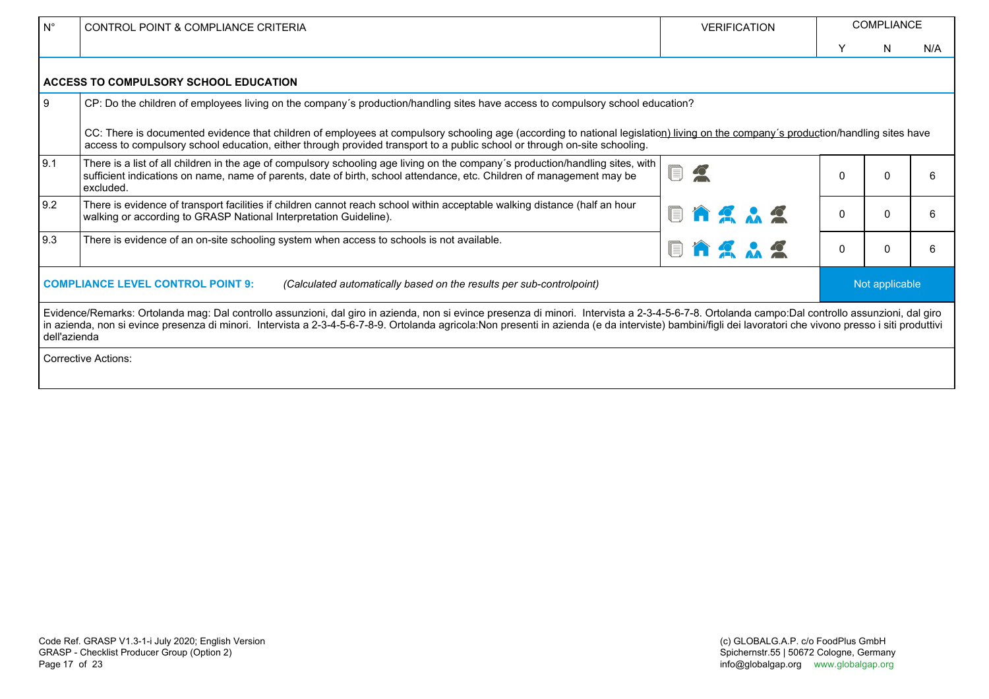| $N^{\circ}$                                                                                                                                                                                                                                                                                                                                                                                                                   | CONTROL POINT & COMPLIANCE CRITERIA                                                                                                                                                                                                                                                                             | <b>VERIFICATION</b>                       |          | <b>COMPLIANCE</b> |     |
|-------------------------------------------------------------------------------------------------------------------------------------------------------------------------------------------------------------------------------------------------------------------------------------------------------------------------------------------------------------------------------------------------------------------------------|-----------------------------------------------------------------------------------------------------------------------------------------------------------------------------------------------------------------------------------------------------------------------------------------------------------------|-------------------------------------------|----------|-------------------|-----|
|                                                                                                                                                                                                                                                                                                                                                                                                                               |                                                                                                                                                                                                                                                                                                                 |                                           |          | N                 | N/A |
|                                                                                                                                                                                                                                                                                                                                                                                                                               | ACCESS TO COMPULSORY SCHOOL EDUCATION                                                                                                                                                                                                                                                                           |                                           |          |                   |     |
| 9                                                                                                                                                                                                                                                                                                                                                                                                                             | CP: Do the children of employees living on the company's production/handling sites have access to compulsory school education?                                                                                                                                                                                  |                                           |          |                   |     |
|                                                                                                                                                                                                                                                                                                                                                                                                                               | CC: There is documented evidence that children of employees at compulsory schooling age (according to national legislation) living on the company's production/handling sites have<br>access to compulsory school education, either through provided transport to a public school or through on-site schooling. |                                           |          |                   |     |
| 9.1                                                                                                                                                                                                                                                                                                                                                                                                                           | There is a list of all children in the age of compulsory schooling age living on the company's production/handling sites, with<br>sufficient indications on name, name of parents, date of birth, school attendance, etc. Children of management may be<br>excluded.                                            | $\blacksquare$<br>$\overline{\mathbb{C}}$ | $\Omega$ |                   | 6   |
| 9.2                                                                                                                                                                                                                                                                                                                                                                                                                           | There is evidence of transport facilities if children cannot reach school within acceptable walking distance (half an hour<br><b>EAAAA</b><br>walking or according to GRASP National Interpretation Guideline).                                                                                                 |                                           | 0        |                   | 6   |
| 9.3                                                                                                                                                                                                                                                                                                                                                                                                                           | There is evidence of an on-site schooling system when access to schools is not available.<br><b>AAAA</b>                                                                                                                                                                                                        |                                           |          |                   | 6   |
| <b>COMPLIANCE LEVEL CONTROL POINT 9:</b><br>Not applicable<br>(Calculated automatically based on the results per sub-controlpoint)                                                                                                                                                                                                                                                                                            |                                                                                                                                                                                                                                                                                                                 |                                           |          |                   |     |
| Evidence/Remarks: Ortolanda mag: Dal controllo assunzioni, dal giro in azienda, non si evince presenza di minori. Intervista a 2-3-4-5-6-7-8. Ortolanda campo:Dal controllo assunzioni, dal giro<br>in azienda, non si evince presenza di minori. Intervista a 2-3-4-5-6-7-8-9. Ortolanda agricola:Non presenti in azienda (e da interviste) bambini/figli dei lavoratori che vivono presso i siti produttivi<br>dell'azienda |                                                                                                                                                                                                                                                                                                                 |                                           |          |                   |     |
| Corrective Actions:                                                                                                                                                                                                                                                                                                                                                                                                           |                                                                                                                                                                                                                                                                                                                 |                                           |          |                   |     |
|                                                                                                                                                                                                                                                                                                                                                                                                                               |                                                                                                                                                                                                                                                                                                                 |                                           |          |                   |     |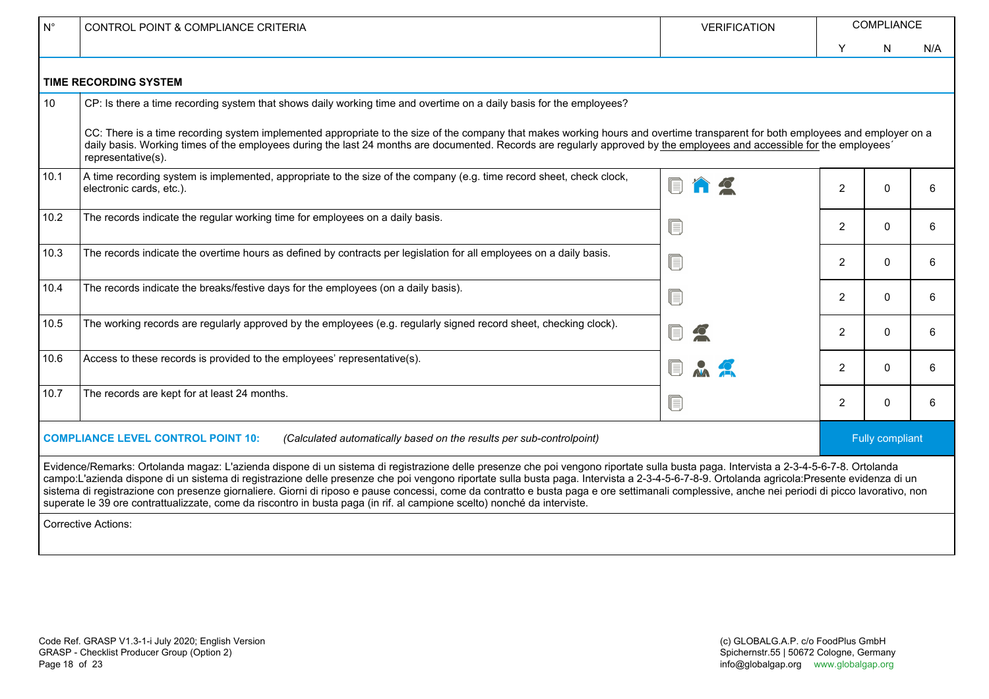| $N^{\circ}$                                                                                                       | CONTROL POINT & COMPLIANCE CRITERIA                                                                                                                                                                                                                                                                                                                                                                                                                                                                                                                                                                                                                                                                              | <b>VERIFICATION</b> | COMPLIANCE     |              |                        |  |  |
|-------------------------------------------------------------------------------------------------------------------|------------------------------------------------------------------------------------------------------------------------------------------------------------------------------------------------------------------------------------------------------------------------------------------------------------------------------------------------------------------------------------------------------------------------------------------------------------------------------------------------------------------------------------------------------------------------------------------------------------------------------------------------------------------------------------------------------------------|---------------------|----------------|--------------|------------------------|--|--|
|                                                                                                                   |                                                                                                                                                                                                                                                                                                                                                                                                                                                                                                                                                                                                                                                                                                                  |                     | Y              | N            | N/A                    |  |  |
|                                                                                                                   | <b>TIME RECORDING SYSTEM</b>                                                                                                                                                                                                                                                                                                                                                                                                                                                                                                                                                                                                                                                                                     |                     |                |              |                        |  |  |
| 10                                                                                                                | CP: Is there a time recording system that shows daily working time and overtime on a daily basis for the employees?                                                                                                                                                                                                                                                                                                                                                                                                                                                                                                                                                                                              |                     |                |              |                        |  |  |
|                                                                                                                   | CC: There is a time recording system implemented appropriate to the size of the company that makes working hours and overtime transparent for both employees and employer on a<br>daily basis. Working times of the employees during the last 24 months are documented. Records are regularly approved by the employees and accessible for the employees'<br>representative(s).                                                                                                                                                                                                                                                                                                                                  |                     |                |              |                        |  |  |
| 10.1                                                                                                              | A time recording system is implemented, appropriate to the size of the company (e.g. time record sheet, check clock,<br>electronic cards, etc.).                                                                                                                                                                                                                                                                                                                                                                                                                                                                                                                                                                 |                     | $\overline{2}$ | $\Omega$     | 6                      |  |  |
| 10.2                                                                                                              | The records indicate the regular working time for employees on a daily basis.                                                                                                                                                                                                                                                                                                                                                                                                                                                                                                                                                                                                                                    | E                   | $\overline{2}$ | $\Omega$     | 6                      |  |  |
| 10.3                                                                                                              | The records indicate the overtime hours as defined by contracts per legislation for all employees on a daily basis.                                                                                                                                                                                                                                                                                                                                                                                                                                                                                                                                                                                              | f)                  | $\overline{2}$ | $\mathbf{0}$ | 6                      |  |  |
| 10.4                                                                                                              | The records indicate the breaks/festive days for the employees (on a daily basis).                                                                                                                                                                                                                                                                                                                                                                                                                                                                                                                                                                                                                               | IE.                 | $\overline{2}$ | $\Omega$     | 6                      |  |  |
| 10.5                                                                                                              | The working records are regularly approved by the employees (e.g. regularly signed record sheet, checking clock).                                                                                                                                                                                                                                                                                                                                                                                                                                                                                                                                                                                                |                     | $\overline{2}$ | $\mathbf{0}$ | 6                      |  |  |
| 10.6                                                                                                              | Access to these records is provided to the employees' representative(s).                                                                                                                                                                                                                                                                                                                                                                                                                                                                                                                                                                                                                                         |                     | $\overline{2}$ | $\Omega$     | 6                      |  |  |
| 10.7                                                                                                              | The records are kept for at least 24 months.                                                                                                                                                                                                                                                                                                                                                                                                                                                                                                                                                                                                                                                                     | I.                  | $\overline{2}$ | $\mathbf{0}$ | 6                      |  |  |
| <b>COMPLIANCE LEVEL CONTROL POINT 10:</b><br>(Calculated automatically based on the results per sub-controlpoint) |                                                                                                                                                                                                                                                                                                                                                                                                                                                                                                                                                                                                                                                                                                                  |                     |                |              | <b>Fully compliant</b> |  |  |
|                                                                                                                   | Evidence/Remarks: Ortolanda magaz: L'azienda dispone di un sistema di registrazione delle presenze che poi vengono riportate sulla busta paga. Intervista a 2-3-4-5-6-7-8. Ortolanda<br>campo:L'azienda dispone di un sistema di registrazione delle presenze che poi vengono riportate sulla busta paga. Intervista a 2-3-4-5-6-7-8-9. Ortolanda agricola:Presente evidenza di un<br>sistema di registrazione con presenze giornaliere. Giorni di riposo e pause concessi, come da contratto e busta paga e ore settimanali complessive, anche nei periodi di picco lavorativo, non<br>superate le 39 ore contrattualizzate, come da riscontro in busta paga (in rif. al campione scelto) nonché da interviste. |                     |                |              |                        |  |  |
|                                                                                                                   | <b>Corrective Actions:</b>                                                                                                                                                                                                                                                                                                                                                                                                                                                                                                                                                                                                                                                                                       |                     |                |              |                        |  |  |
|                                                                                                                   |                                                                                                                                                                                                                                                                                                                                                                                                                                                                                                                                                                                                                                                                                                                  |                     |                |              |                        |  |  |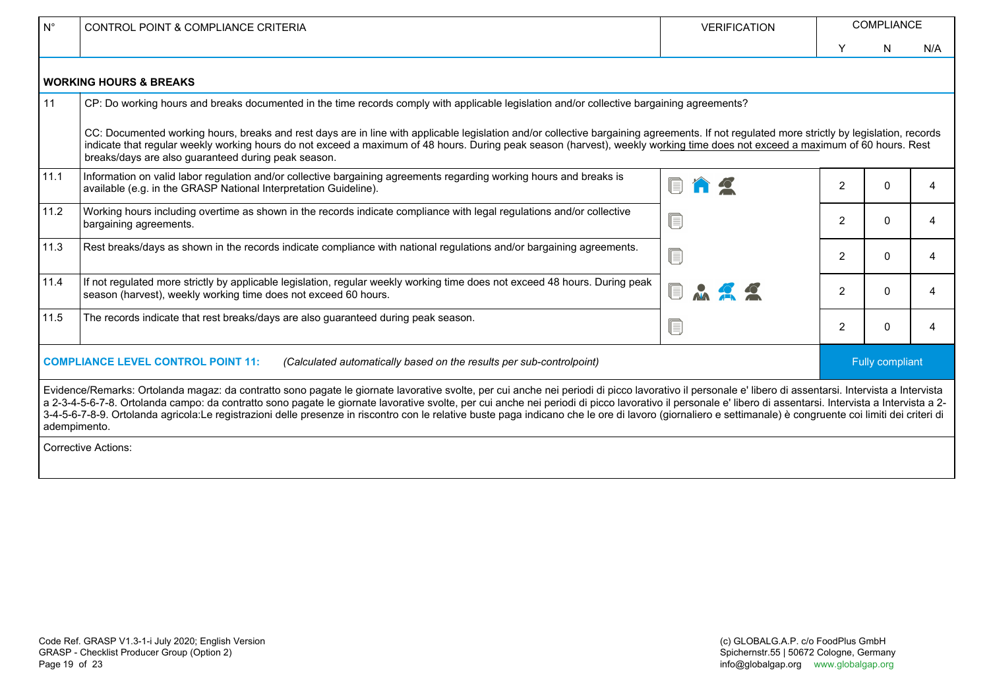| $\mathsf{N}^\circ$                                                                                                                                                                                                                                                                                                                                                                                                                                                                                                                                                                                                                                 | CONTROL POINT & COMPLIANCE CRITERIA                                                                                                                                                                                                                                                                                                                                                                                                | <b>VERIFICATION</b> | <b>COMPLIANCE</b> |              |     |  |
|----------------------------------------------------------------------------------------------------------------------------------------------------------------------------------------------------------------------------------------------------------------------------------------------------------------------------------------------------------------------------------------------------------------------------------------------------------------------------------------------------------------------------------------------------------------------------------------------------------------------------------------------------|------------------------------------------------------------------------------------------------------------------------------------------------------------------------------------------------------------------------------------------------------------------------------------------------------------------------------------------------------------------------------------------------------------------------------------|---------------------|-------------------|--------------|-----|--|
|                                                                                                                                                                                                                                                                                                                                                                                                                                                                                                                                                                                                                                                    |                                                                                                                                                                                                                                                                                                                                                                                                                                    |                     | Y                 | N            | N/A |  |
| <b>WORKING HOURS &amp; BREAKS</b>                                                                                                                                                                                                                                                                                                                                                                                                                                                                                                                                                                                                                  |                                                                                                                                                                                                                                                                                                                                                                                                                                    |                     |                   |              |     |  |
| 11                                                                                                                                                                                                                                                                                                                                                                                                                                                                                                                                                                                                                                                 | CP: Do working hours and breaks documented in the time records comply with applicable legislation and/or collective bargaining agreements?                                                                                                                                                                                                                                                                                         |                     |                   |              |     |  |
|                                                                                                                                                                                                                                                                                                                                                                                                                                                                                                                                                                                                                                                    | CC: Documented working hours, breaks and rest days are in line with applicable legislation and/or collective bargaining agreements. If not regulated more strictly by legislation, records<br>indicate that regular weekly working hours do not exceed a maximum of 48 hours. During peak season (harvest), weekly working time does not exceed a maximum of 60 hours. Rest<br>breaks/days are also guaranteed during peak season. |                     |                   |              |     |  |
| 11.1                                                                                                                                                                                                                                                                                                                                                                                                                                                                                                                                                                                                                                               | Information on valid labor regulation and/or collective bargaining agreements regarding working hours and breaks is<br>available (e.g. in the GRASP National Interpretation Guideline).                                                                                                                                                                                                                                            |                     | 2                 | <sup>0</sup> | Δ   |  |
| 11.2                                                                                                                                                                                                                                                                                                                                                                                                                                                                                                                                                                                                                                               | Working hours including overtime as shown in the records indicate compliance with legal regulations and/or collective<br>bargaining agreements.                                                                                                                                                                                                                                                                                    | ſ                   | 2                 | $\Omega$     | 4   |  |
| 11.3                                                                                                                                                                                                                                                                                                                                                                                                                                                                                                                                                                                                                                               | Rest breaks/days as shown in the records indicate compliance with national regulations and/or bargaining agreements.                                                                                                                                                                                                                                                                                                               | ſ                   | $\overline{2}$    | 0            | 4   |  |
| 11.4                                                                                                                                                                                                                                                                                                                                                                                                                                                                                                                                                                                                                                               | If not regulated more strictly by applicable legislation, regular weekly working time does not exceed 48 hours. During peak<br>season (harvest), weekly working time does not exceed 60 hours.                                                                                                                                                                                                                                     |                     | 2                 | 0            | 4   |  |
| 11.5                                                                                                                                                                                                                                                                                                                                                                                                                                                                                                                                                                                                                                               | The records indicate that rest breaks/days are also guaranteed during peak season.                                                                                                                                                                                                                                                                                                                                                 | le                  | 2                 | 0            | 4   |  |
| <b>COMPLIANCE LEVEL CONTROL POINT 11:</b><br>Fully compliant<br>(Calculated automatically based on the results per sub-controlpoint)                                                                                                                                                                                                                                                                                                                                                                                                                                                                                                               |                                                                                                                                                                                                                                                                                                                                                                                                                                    |                     |                   |              |     |  |
| Evidence/Remarks: Ortolanda magaz: da contratto sono pagate le giornate lavorative svolte, per cui anche nei periodi di picco lavorativo il personale e' libero di assentarsi. Intervista a Intervista<br>a 2-3-4-5-6-7-8. Ortolanda campo: da contratto sono pagate le giornate lavorative svolte, per cui anche nei periodi di picco lavorativo il personale e' libero di assentarsi. Intervista a Intervista a 2-<br>3-4-5-6-7-8-9. Ortolanda agricola:Le registrazioni delle presenze in riscontro con le relative buste paga indicano che le ore di lavoro (giornaliero e settimanale) è congruente coi limiti dei criteri di<br>adempimento. |                                                                                                                                                                                                                                                                                                                                                                                                                                    |                     |                   |              |     |  |
| <b>Corrective Actions:</b>                                                                                                                                                                                                                                                                                                                                                                                                                                                                                                                                                                                                                         |                                                                                                                                                                                                                                                                                                                                                                                                                                    |                     |                   |              |     |  |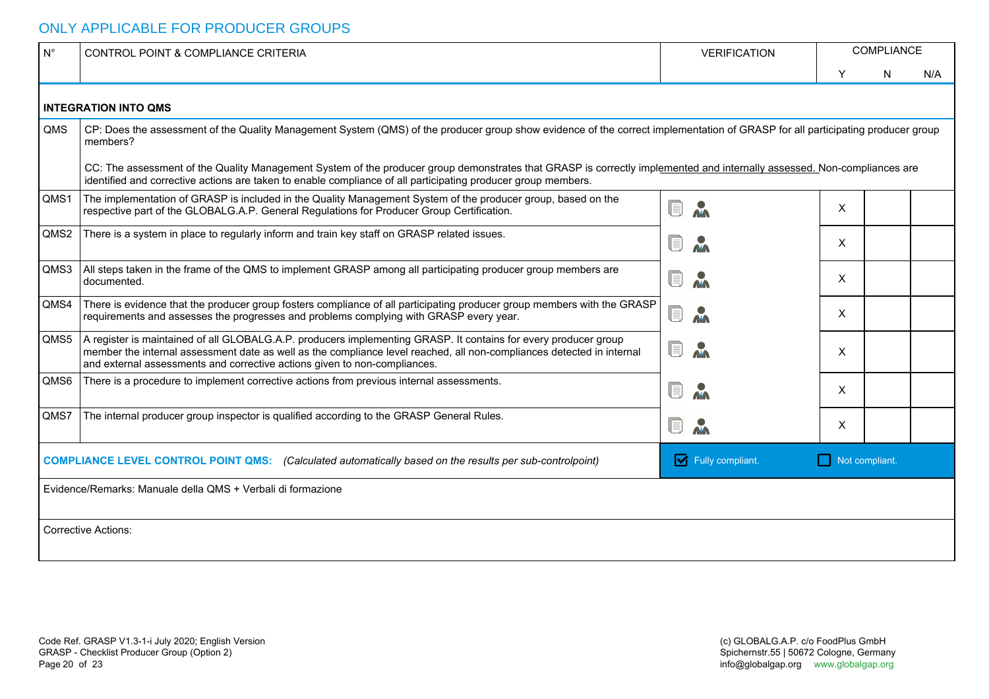### ONLY APPLICABLE FOR PRODUCER GROUPS

| $N^{\circ}$                                                                                                                                    | CONTROL POINT & COMPLIANCE CRITERIA                                                                                                                                                                                                                                                                                   | <b>VERIFICATION</b> | COMPLIANCE |   |     |  |  |
|------------------------------------------------------------------------------------------------------------------------------------------------|-----------------------------------------------------------------------------------------------------------------------------------------------------------------------------------------------------------------------------------------------------------------------------------------------------------------------|---------------------|------------|---|-----|--|--|
|                                                                                                                                                |                                                                                                                                                                                                                                                                                                                       |                     | Y          | N | N/A |  |  |
|                                                                                                                                                | <b>INTEGRATION INTO QMS</b>                                                                                                                                                                                                                                                                                           |                     |            |   |     |  |  |
| <b>OMS</b>                                                                                                                                     | CP: Does the assessment of the Quality Management System (QMS) of the producer group show evidence of the correct implementation of GRASP for all participating producer group<br>members?                                                                                                                            |                     |            |   |     |  |  |
|                                                                                                                                                | CC: The assessment of the Quality Management System of the producer group demonstrates that GRASP is correctly implemented and internally assessed. Non-compliances are<br>identified and corrective actions are taken to enable compliance of all participating producer group members.                              |                     |            |   |     |  |  |
| QMS1                                                                                                                                           | The implementation of GRASP is included in the Quality Management System of the producer group, based on the<br>respective part of the GLOBALG.A.P. General Regulations for Producer Group Certification.                                                                                                             |                     | X          |   |     |  |  |
| QMS2                                                                                                                                           | There is a system in place to regularly inform and train key staff on GRASP related issues.                                                                                                                                                                                                                           |                     | X          |   |     |  |  |
| QMS3                                                                                                                                           | All steps taken in the frame of the QMS to implement GRASP among all participating producer group members are<br>documented.                                                                                                                                                                                          |                     | $\times$   |   |     |  |  |
| QMS4                                                                                                                                           | There is evidence that the producer group fosters compliance of all participating producer group members with the GRASP<br>requirements and assesses the progresses and problems complying with GRASP every year.                                                                                                     |                     | X          |   |     |  |  |
| QMS5                                                                                                                                           | A register is maintained of all GLOBALG.A.P. producers implementing GRASP. It contains for every producer group<br>member the internal assessment date as well as the compliance level reached, all non-compliances detected in internal<br>and external assessments and corrective actions given to non-compliances. |                     | X          |   |     |  |  |
| QMS6                                                                                                                                           | There is a procedure to implement corrective actions from previous internal assessments.                                                                                                                                                                                                                              |                     | X          |   |     |  |  |
| QMS7                                                                                                                                           | The internal producer group inspector is qualified according to the GRASP General Rules.                                                                                                                                                                                                                              | $\mathbf{M}$        | X          |   |     |  |  |
| Fully compliant.<br>Not compliant.<br>COMPLIANCE LEVEL CONTROL POINT QMS: (Calculated automatically based on the results per sub-controlpoint) |                                                                                                                                                                                                                                                                                                                       |                     |            |   |     |  |  |
| Evidence/Remarks: Manuale della QMS + Verbali di formazione                                                                                    |                                                                                                                                                                                                                                                                                                                       |                     |            |   |     |  |  |
| <b>Corrective Actions:</b>                                                                                                                     |                                                                                                                                                                                                                                                                                                                       |                     |            |   |     |  |  |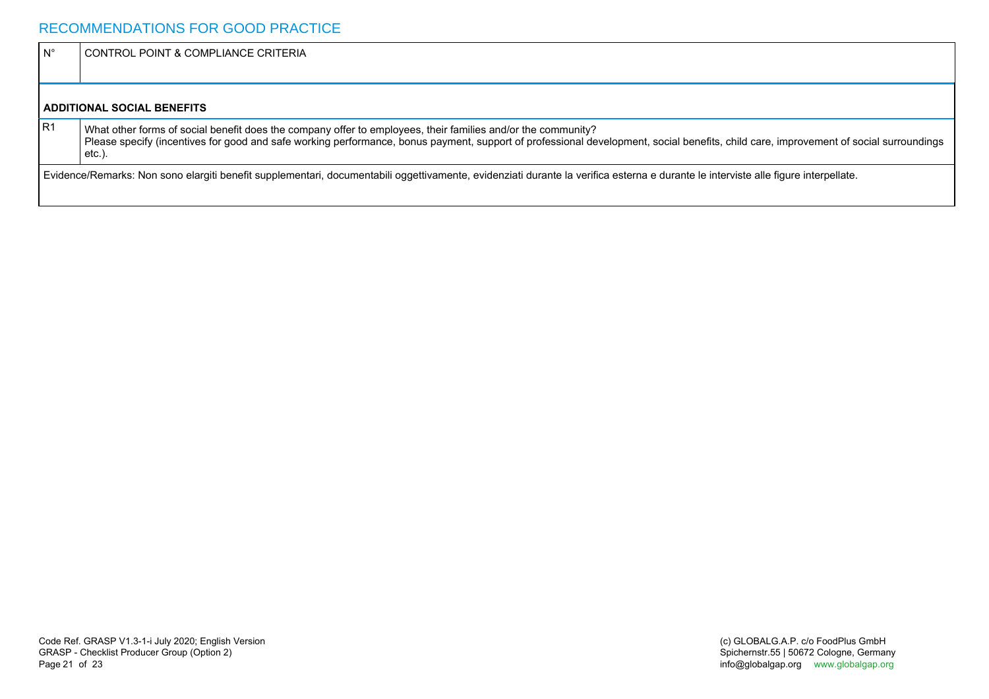| $\mathsf{N}^{\circ}$ | CONTROL POINT & COMPLIANCE CRITERIA                                                                                                                                                                                                                                                                             |  |  |  |  |
|----------------------|-----------------------------------------------------------------------------------------------------------------------------------------------------------------------------------------------------------------------------------------------------------------------------------------------------------------|--|--|--|--|
|                      |                                                                                                                                                                                                                                                                                                                 |  |  |  |  |
|                      | <b>ADDITIONAL SOCIAL BENEFITS</b>                                                                                                                                                                                                                                                                               |  |  |  |  |
| IR <sub>1</sub>      | What other forms of social benefit does the company offer to employees, their families and/or the community?<br>Please specify (incentives for good and safe working performance, bonus payment, support of professional development, social benefits, child care, improvement of social surroundings<br>etc.). |  |  |  |  |
|                      | Evidence/Remarks: Non sono elargiti benefit supplementari, documentabili oggettivamente, evidenziati durante la verifica esterna e durante le interviste alle figure interpellate.                                                                                                                              |  |  |  |  |